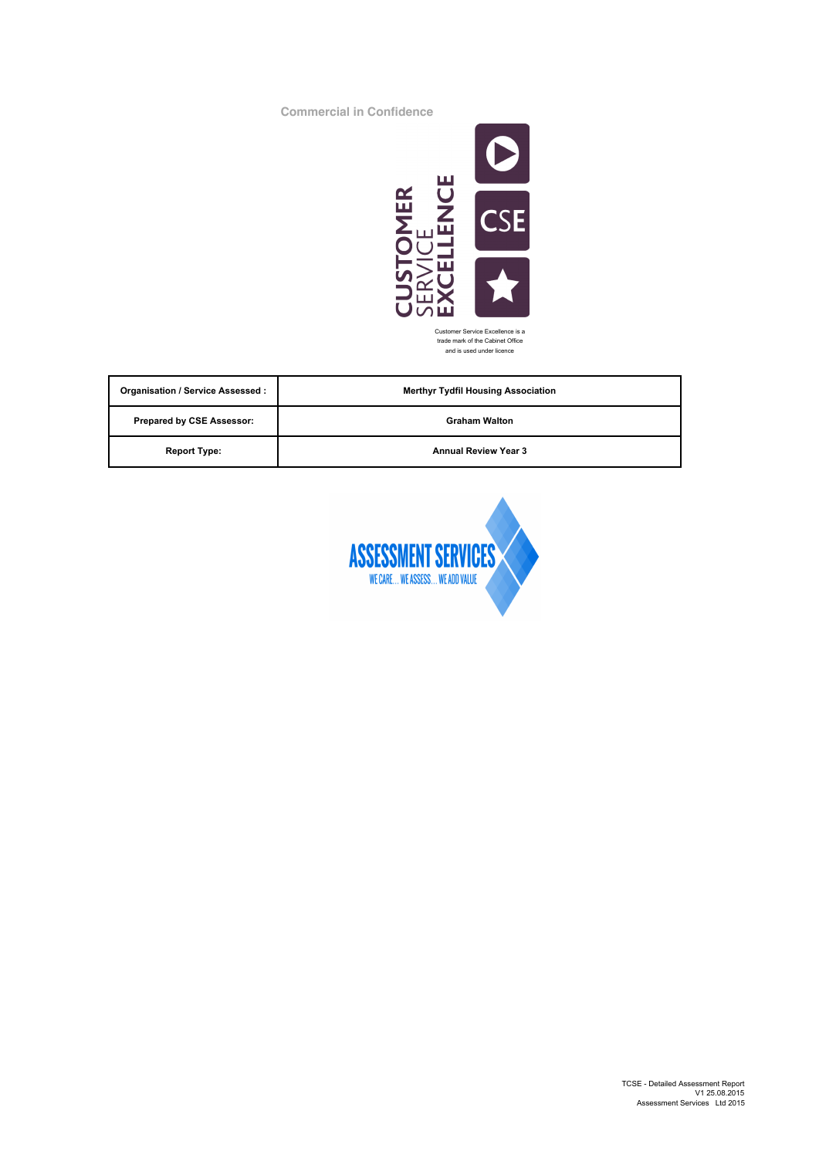**Commercial in Confidence**



Customer Service Excellence is a trade mark of the Cabinet Office and is used under licence

| <b>Organisation / Service Assessed:</b> | <b>Merthyr Tydfil Housing Association</b> |
|-----------------------------------------|-------------------------------------------|
| <b>Prepared by CSE Assessor:</b>        | <b>Graham Walton</b>                      |
| <b>Report Type:</b>                     | <b>Annual Review Year 3</b>               |

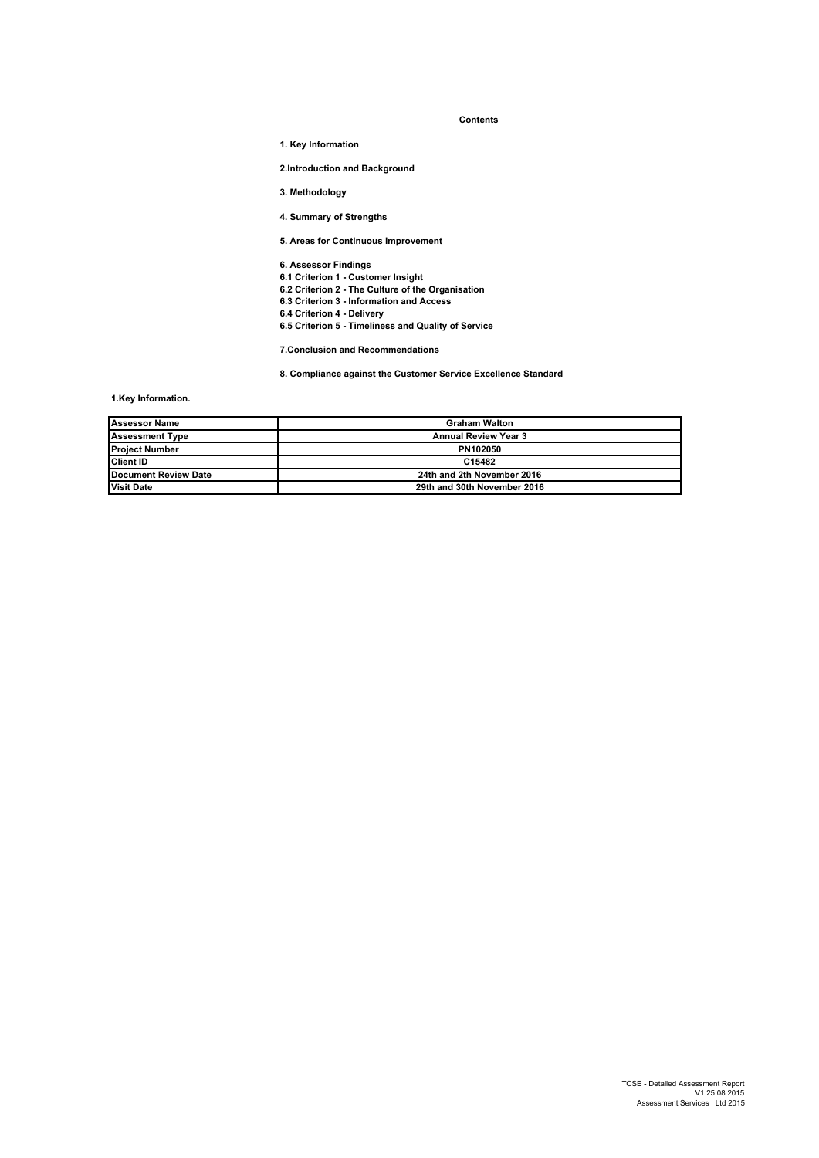#### **Contents**

**1. Key Information**

**2.Introduction and Background** 

**3. Methodology**

**4. Summary of Strengths** 

**5. Areas for Continuous Improvement** 

**6. Assessor Findings**

**6.1 Criterion 1 - Customer Insight**

**6.2 Criterion 2 - The Culture of the Organisation** 

**6.3 Criterion 3 - Information and Access**

**6.4 Criterion 4 - Delivery**

**6.5 Criterion 5 - Timeliness and Quality of Service** 

**7.Conclusion and Recommendations**

**8. Compliance against the Customer Service Excellence Standard**

**1.Key Information.**

| <b>Assessor Name</b>   | <b>Graham Walton</b>        |
|------------------------|-----------------------------|
| <b>Assessment Type</b> | <b>Annual Review Year 3</b> |
| <b>Project Number</b>  | PN102050                    |
| <b>Client ID</b>       | C15482                      |
| Document Review Date   | 24th and 2th November 2016  |
| <b>Visit Date</b>      | 29th and 30th November 2016 |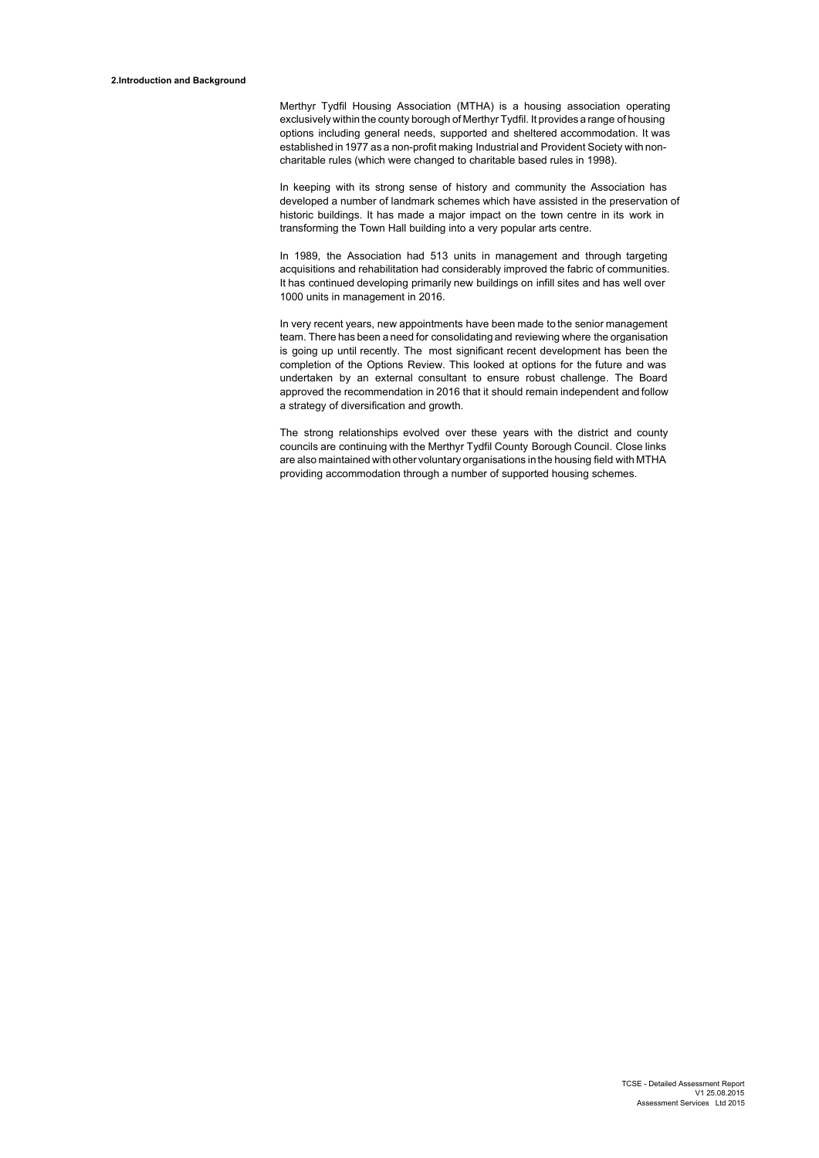Merthyr Tydfil Housing Association (MTHA) is a housing association operating exclusively within the county borough of Merthyr Tydfil. It provides a range of housing options including general needs, supported and sheltered accommodation. It was established in 1977 as a non-profit making Industrial and Provident Society with noncharitable rules (which were changed to charitable based rules in 1998).

In keeping with its strong sense of history and community the Association has developed a number of landmark schemes which have assisted in the preservation of historic buildings. It has made a major impact on the town centre in its work in transforming the Town Hall building into a very popular arts centre.

In 1989, the Association had 513 units in management and through targeting acquisitions and rehabilitation had considerably improved the fabric of communities. It has continued developing primarily new buildings on infill sites and has well over 1000 units in management in 2016.

In very recent years, new appointments have been made to the senior management team. There has been a need for consolidating and reviewing where the organisation is going up until recently. The most significant recent development has been the completion of the Options Review. This looked at options for the future and was undertaken by an external consultant to ensure robust challenge. The Board approved the recommendation in 2016 that it should remain independent and follow a strategy of diversification and growth.

The strong relationships evolved over these years with the district and county councils are continuing with the Merthyr Tydfil County Borough Council. Close links are also maintained with other voluntary organisations in the housing field with MTHA providing accommodation through a number of supported housing schemes.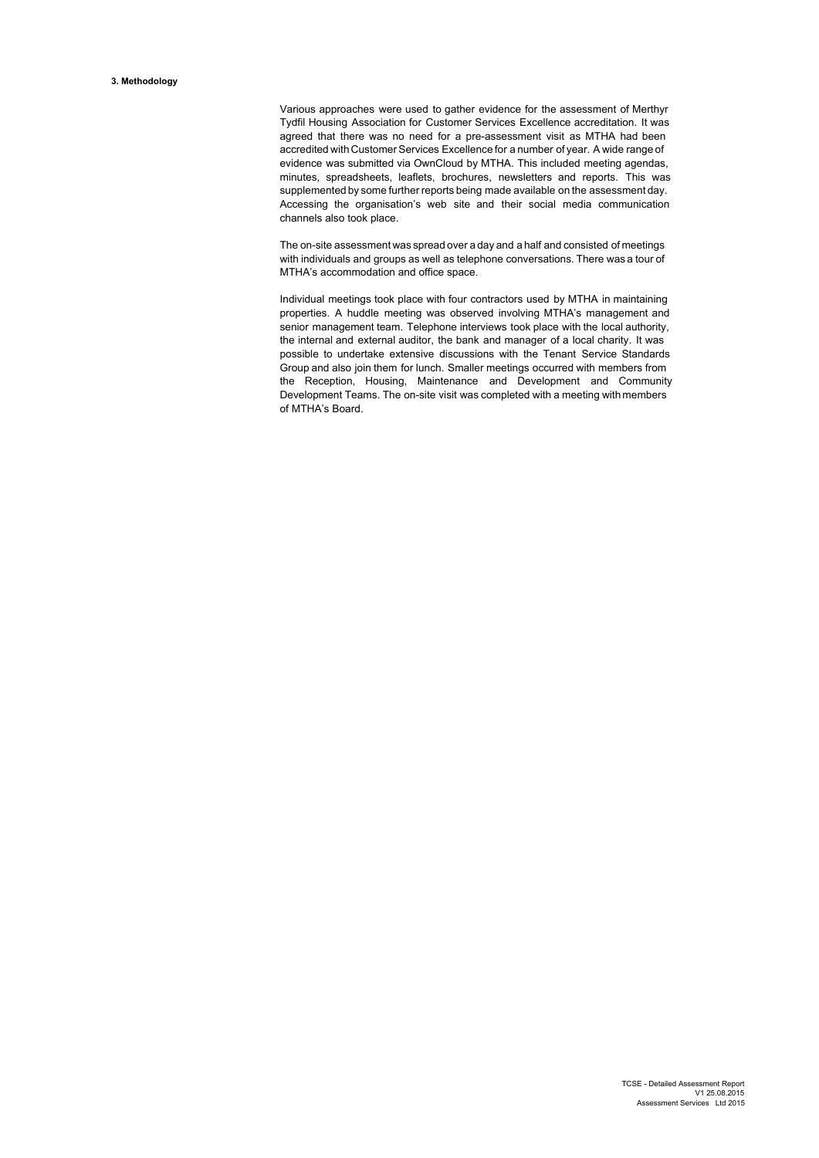Various approaches were used to gather evidence for the assessment of Merthyr Tydfil Housing Association for Customer Services Excellence accreditation. It was agreed that there was no need for a pre-assessment visit as MTHA had been accredited with Customer Services Excellence for a number of year. A wide range of evidence was submitted via OwnCloud by MTHA. This included meeting agendas, minutes, spreadsheets, leaflets, brochures, newsletters and reports. This was supplemented by some further reports being made available on the assessment day. Accessing the organisation's web site and their social media communication channels also took place.

The on-site assessment was spread over a day and a half and consisted of meetings with individuals and groups as well as telephone conversations. There was a tour of MTHA's accommodation and office space.

Individual meetings took place with four contractors used by MTHA in maintaining properties. A huddle meeting was observed involving MTHA's management and senior management team. Telephone interviews took place with the local authority, the internal and external auditor, the bank and manager of a local charity. It was possible to undertake extensive discussions with the Tenant Service Standards Group and also join them for lunch. Smaller meetings occurred with members from the Reception, Housing, Maintenance and Development and Community Development Teams. The on-site visit was completed with a meeting with members of MTHA's Board.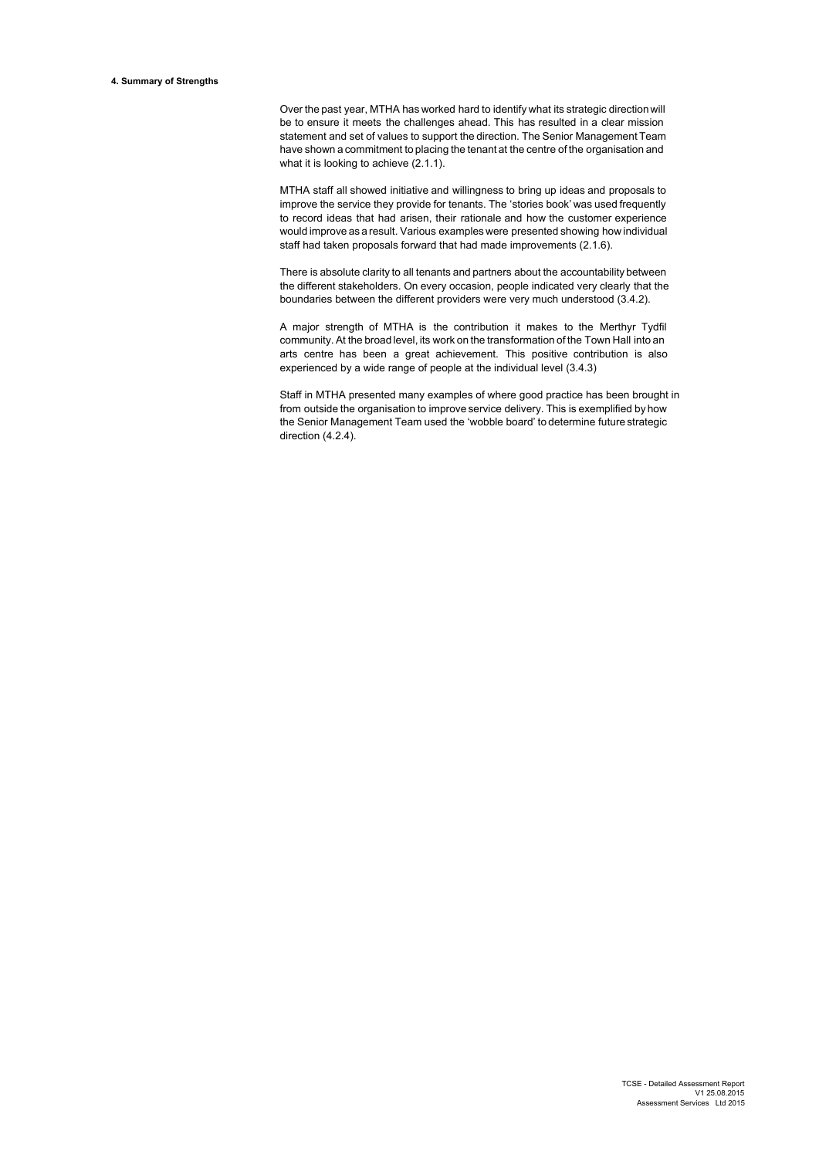Over the past year, MTHA has worked hard to identify what its strategic direction will be to ensure it meets the challenges ahead. This has resulted in a clear mission statement and set of values to support the direction. The Senior Management Team have shown a commitment to placing the tenant at the centre of the organisation and what it is looking to achieve (2.1.1).

MTHA staff all showed initiative and willingness to bring up ideas and proposals to improve the service they provide for tenants. The 'stories book' was used frequently to record ideas that had arisen, their rationale and how the customer experience would improve as a result. Various examples were presented showing how individual staff had taken proposals forward that had made improvements (2.1.6).

There is absolute clarity to all tenants and partners about the accountability between the different stakeholders. On every occasion, people indicated very clearly that the boundaries between the different providers were very much understood (3.4.2).

A major strength of MTHA is the contribution it makes to the Merthyr Tydfil community. At the broad level, its work on the transformation of the Town Hall into an arts centre has been a great achievement. This positive contribution is also experienced by a wide range of people at the individual level (3.4.3)

Staff in MTHA presented many examples of where good practice has been brought in from outside the organisation to improve service delivery. This is exemplified by how the Senior Management Team used the 'wobble board' to determine future strategic direction (4.2.4).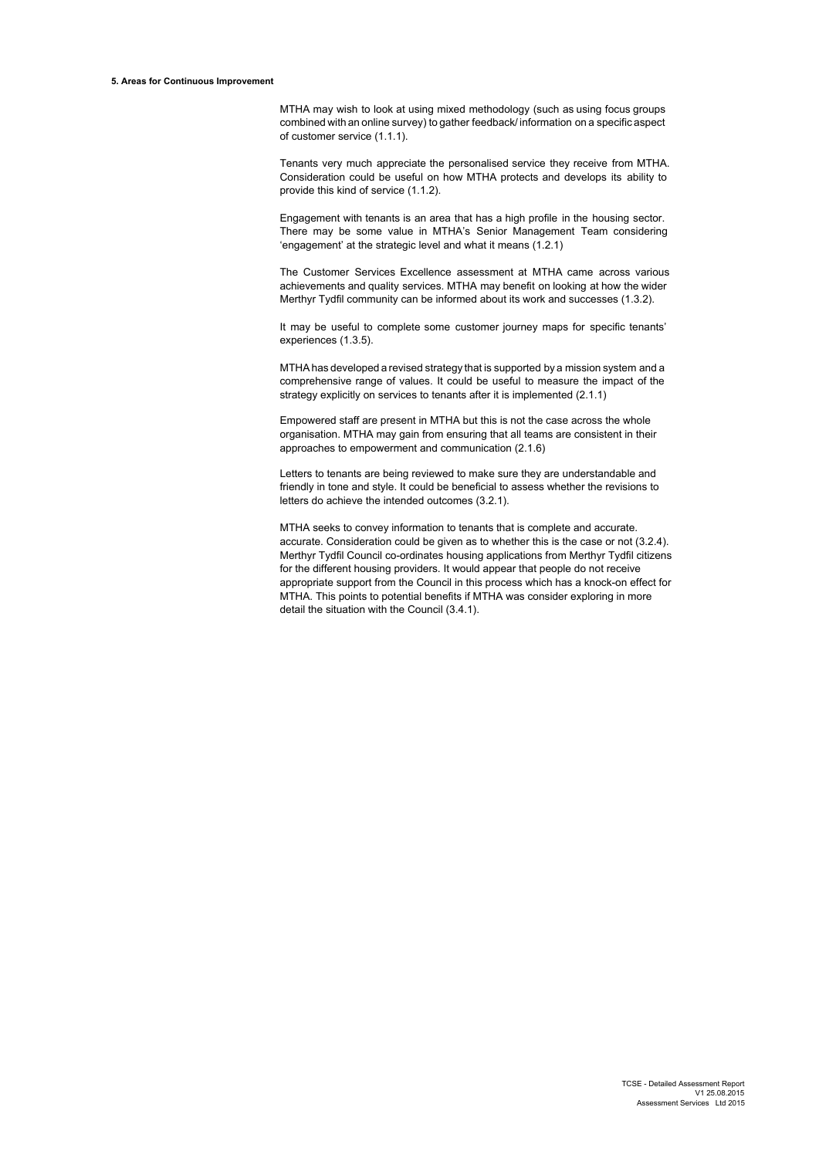#### **5. Areas for Continuous Improvement**

MTHA may wish to look at using mixed methodology (such as using focus groups combined with an online survey) to gather feedback/ information on a specific aspect of customer service (1.1.1).

Tenants very much appreciate the personalised service they receive from MTHA. Consideration could be useful on how MTHA protects and develops its ability to provide this kind of service (1.1.2).

Engagement with tenants is an area that has a high profile in the housing sector. There may be some value in MTHA's Senior Management Team considering 'engagement' at the strategic level and what it means (1.2.1)

The Customer Services Excellence assessment at MTHA came across various achievements and quality services. MTHA may benefit on looking at how the wider Merthyr Tydfil community can be informed about its work and successes (1.3.2).

It may be useful to complete some customer journey maps for specific tenants' experiences (1.3.5).

MTHA has developed a revised strategy that is supported by a mission system and a comprehensive range of values. It could be useful to measure the impact of the strategy explicitly on services to tenants after it is implemented (2.1.1)

Empowered staff are present in MTHA but this is not the case across the whole organisation. MTHA may gain from ensuring that all teams are consistent in their approaches to empowerment and communication (2.1.6)

Letters to tenants are being reviewed to make sure they are understandable and friendly in tone and style. It could be beneficial to assess whether the revisions to letters do achieve the intended outcomes (3.2.1).

MTHA seeks to convey information to tenants that is complete and accurate. accurate. Consideration could be given as to whether this is the case or not (3.2.4). Merthyr Tydfil Council co-ordinates housing applications from Merthyr Tydfil citizens for the different housing providers. It would appear that people do not receive appropriate support from the Council in this process which has a knock-on effect for MTHA. This points to potential benefits if MTHA was consider exploring in more detail the situation with the Council (3.4.1).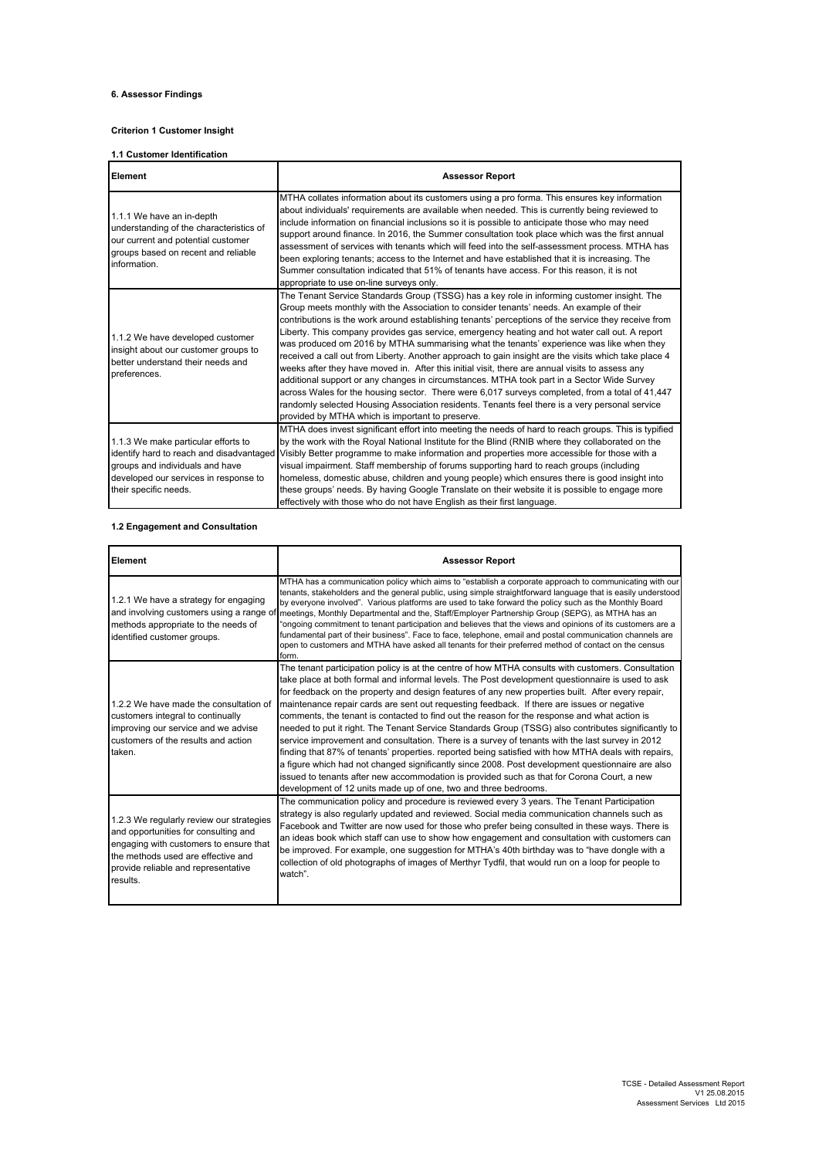# **6. Assessor Findings**

### **Criterion 1 Customer Insight**

### **1.1 Customer Identification**

| Element                                                                                                                                                                              | <b>Assessor Report</b>                                                                                                                                                                                                                                                                                                                                                                                                                                                                                                                                                                                                                                                                                                                                                                                                                                                                                                                                                                                                                                         |
|--------------------------------------------------------------------------------------------------------------------------------------------------------------------------------------|----------------------------------------------------------------------------------------------------------------------------------------------------------------------------------------------------------------------------------------------------------------------------------------------------------------------------------------------------------------------------------------------------------------------------------------------------------------------------------------------------------------------------------------------------------------------------------------------------------------------------------------------------------------------------------------------------------------------------------------------------------------------------------------------------------------------------------------------------------------------------------------------------------------------------------------------------------------------------------------------------------------------------------------------------------------|
| 1.1.1 We have an in-depth<br>understanding of the characteristics of<br>our current and potential customer<br>groups based on recent and reliable<br>information.                    | MTHA collates information about its customers using a pro forma. This ensures key information<br>about individuals' requirements are available when needed. This is currently being reviewed to<br>include information on financial inclusions so it is possible to anticipate those who may need<br>support around finance. In 2016, the Summer consultation took place which was the first annual<br>assessment of services with tenants which will feed into the self-assessment process. MTHA has<br>been exploring tenants; access to the Internet and have established that it is increasing. The<br>Summer consultation indicated that 51% of tenants have access. For this reason, it is not<br>appropriate to use on-line surveys only.                                                                                                                                                                                                                                                                                                               |
| 1.1.2 We have developed customer<br>insight about our customer groups to<br>better understand their needs and<br>preferences.                                                        | The Tenant Service Standards Group (TSSG) has a key role in informing customer insight. The<br>Group meets monthly with the Association to consider tenants' needs. An example of their<br>contributions is the work around establishing tenants' perceptions of the service they receive from<br>Liberty. This company provides gas service, emergency heating and hot water call out. A report<br>was produced om 2016 by MTHA summarising what the tenants' experience was like when they<br>received a call out from Liberty. Another approach to gain insight are the visits which take place 4<br>weeks after they have moved in. After this initial visit, there are annual visits to assess any<br>additional support or any changes in circumstances. MTHA took part in a Sector Wide Survey<br>across Wales for the housing sector. There were 6,017 surveys completed, from a total of 41,447<br>randomly selected Housing Association residents. Tenants feel there is a very personal service<br>provided by MTHA which is important to preserve. |
| 1.1.3 We make particular efforts to<br>identify hard to reach and disadvantaged<br>groups and individuals and have<br>developed our services in response to<br>their specific needs. | MTHA does invest significant effort into meeting the needs of hard to reach groups. This is typified<br>by the work with the Royal National Institute for the Blind (RNIB where they collaborated on the<br>Visibly Better programme to make information and properties more accessible for those with a<br>visual impairment. Staff membership of forums supporting hard to reach groups (including<br>homeless, domestic abuse, children and young people) which ensures there is good insight into<br>these groups' needs. By having Google Translate on their website it is possible to engage more<br>effectively with those who do not have English as their first language.                                                                                                                                                                                                                                                                                                                                                                             |

## **1.2 Engagement and Consultation**

| Element                                                                                                                                                                                                             | <b>Assessor Report</b>                                                                                                                                                                                                                                                                                                                                                                                                                                                                                                                                                                                                                                                                                                                                                                                                                                                                                                                                                                                                                                                                          |
|---------------------------------------------------------------------------------------------------------------------------------------------------------------------------------------------------------------------|-------------------------------------------------------------------------------------------------------------------------------------------------------------------------------------------------------------------------------------------------------------------------------------------------------------------------------------------------------------------------------------------------------------------------------------------------------------------------------------------------------------------------------------------------------------------------------------------------------------------------------------------------------------------------------------------------------------------------------------------------------------------------------------------------------------------------------------------------------------------------------------------------------------------------------------------------------------------------------------------------------------------------------------------------------------------------------------------------|
| 1.2.1 We have a strategy for engaging<br>and involving customers using a range of<br>methods appropriate to the needs of<br>identified customer groups.                                                             | MTHA has a communication policy which aims to "establish a corporate approach to communicating with our<br>tenants, stakeholders and the general public, using simple straightforward language that is easily understood<br>by everyone involved". Various platforms are used to take forward the policy such as the Monthly Board<br>meetings, Monthly Departmental and the, Staff/Employer Partnership Group (SEPG), as MTHA has an<br>"ongoing commitment to tenant participation and believes that the views and opinions of its customers are a<br>fundamental part of their business". Face to face, telephone, email and postal communication channels are<br>open to customers and MTHA have asked all tenants for their preferred method of contact on the census<br>form.                                                                                                                                                                                                                                                                                                             |
| 1.2.2 We have made the consultation of<br>customers integral to continually<br>improving our service and we advise<br>customers of the results and action<br>taken.                                                 | The tenant participation policy is at the centre of how MTHA consults with customers. Consultation<br>take place at both formal and informal levels. The Post development questionnaire is used to ask<br>for feedback on the property and design features of any new properties built. After every repair,<br>maintenance repair cards are sent out requesting feedback. If there are issues or negative<br>comments, the tenant is contacted to find out the reason for the response and what action is<br>needed to put it right. The Tenant Service Standards Group (TSSG) also contributes significantly to<br>service improvement and consultation. There is a survey of tenants with the last survey in 2012<br>finding that 87% of tenants' properties, reported being satisfied with how MTHA deals with repairs,<br>a figure which had not changed significantly since 2008. Post development questionnaire are also<br>issued to tenants after new accommodation is provided such as that for Corona Court, a new<br>development of 12 units made up of one, two and three bedrooms. |
| 1.2.3 We regularly review our strategies<br>and opportunities for consulting and<br>engaging with customers to ensure that<br>the methods used are effective and<br>provide reliable and representative<br>results. | The communication policy and procedure is reviewed every 3 years. The Tenant Participation<br>strategy is also regularly updated and reviewed. Social media communication channels such as<br>Facebook and Twitter are now used for those who prefer being consulted in these ways. There is<br>an ideas book which staff can use to show how engagement and consultation with customers can<br>be improved. For example, one suggestion for MTHA's 40th birthday was to "have dongle with a<br>collection of old photographs of images of Merthyr Tydfil, that would run on a loop for people to<br>watch".                                                                                                                                                                                                                                                                                                                                                                                                                                                                                    |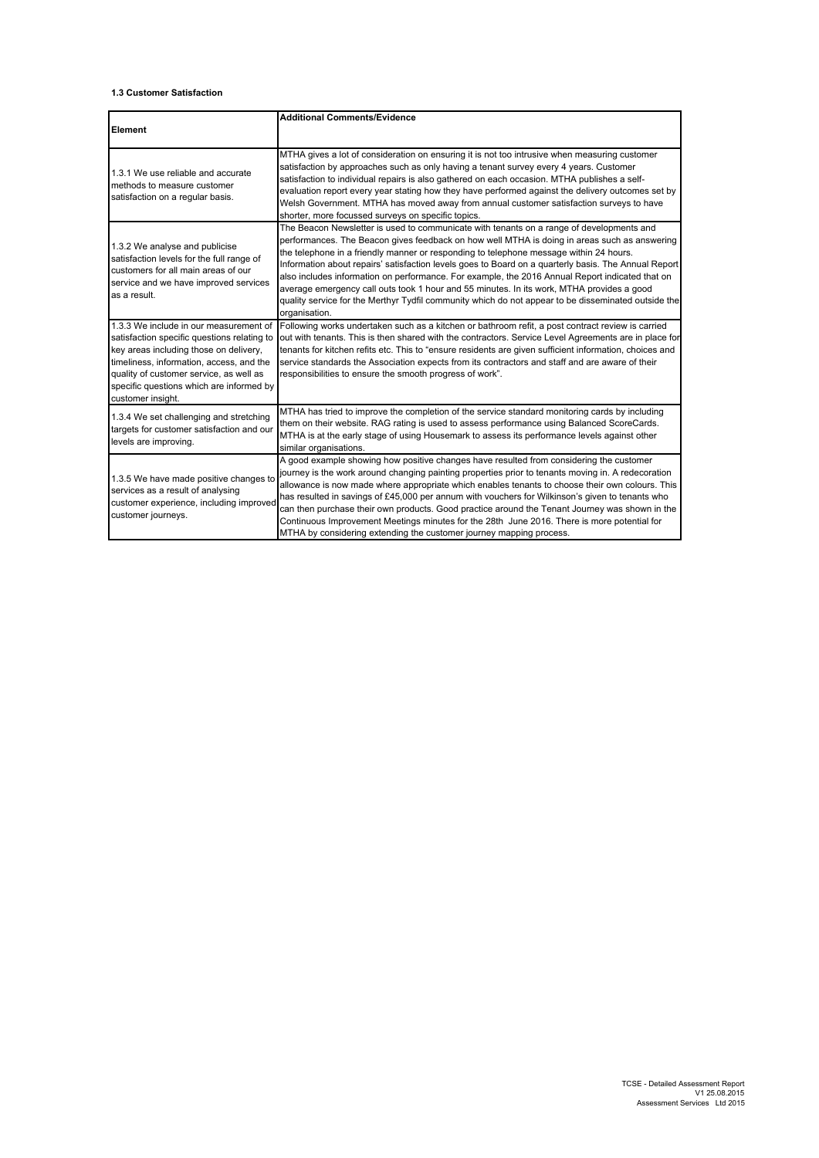### **1.3 Customer Satisfaction**

|                                                                                                                                                                                                                                                                                         | <b>Additional Comments/Evidence</b>                                                                                                                                                                                                                                                                                                                                                                                                                                                                                                                                                                                                                                                                                |
|-----------------------------------------------------------------------------------------------------------------------------------------------------------------------------------------------------------------------------------------------------------------------------------------|--------------------------------------------------------------------------------------------------------------------------------------------------------------------------------------------------------------------------------------------------------------------------------------------------------------------------------------------------------------------------------------------------------------------------------------------------------------------------------------------------------------------------------------------------------------------------------------------------------------------------------------------------------------------------------------------------------------------|
| Element                                                                                                                                                                                                                                                                                 |                                                                                                                                                                                                                                                                                                                                                                                                                                                                                                                                                                                                                                                                                                                    |
| 1.3.1 We use reliable and accurate<br>methods to measure customer<br>satisfaction on a regular basis.                                                                                                                                                                                   | MTHA gives a lot of consideration on ensuring it is not too intrusive when measuring customer<br>satisfaction by approaches such as only having a tenant survey every 4 years. Customer<br>satisfaction to individual repairs is also gathered on each occasion. MTHA publishes a self-<br>evaluation report every year stating how they have performed against the delivery outcomes set by<br>Welsh Government. MTHA has moved away from annual customer satisfaction surveys to have<br>shorter, more focussed surveys on specific topics.                                                                                                                                                                      |
| 1.3.2 We analyse and publicise<br>satisfaction levels for the full range of<br>customers for all main areas of our<br>service and we have improved services<br>as a result.                                                                                                             | The Beacon Newsletter is used to communicate with tenants on a range of developments and<br>performances. The Beacon gives feedback on how well MTHA is doing in areas such as answering<br>the telephone in a friendly manner or responding to telephone message within 24 hours.<br>Information about repairs' satisfaction levels goes to Board on a quarterly basis. The Annual Report<br>also includes information on performance. For example, the 2016 Annual Report indicated that on<br>average emergency call outs took 1 hour and 55 minutes. In its work, MTHA provides a good<br>quality service for the Merthyr Tydfil community which do not appear to be disseminated outside the<br>organisation. |
| 1.3.3 We include in our measurement of<br>satisfaction specific questions relating to<br>key areas including those on delivery,<br>timeliness, information, access, and the<br>quality of customer service, as well as<br>specific questions which are informed by<br>customer insight. | Following works undertaken such as a kitchen or bathroom refit, a post contract review is carried<br>out with tenants. This is then shared with the contractors. Service Level Agreements are in place for<br>tenants for kitchen refits etc. This to "ensure residents are given sufficient information, choices and<br>service standards the Association expects from its contractors and staff and are aware of their<br>responsibilities to ensure the smooth progress of work".                                                                                                                                                                                                                               |
| 1.3.4 We set challenging and stretching<br>targets for customer satisfaction and our<br>levels are improving.                                                                                                                                                                           | MTHA has tried to improve the completion of the service standard monitoring cards by including<br>them on their website. RAG rating is used to assess performance using Balanced ScoreCards.<br>MTHA is at the early stage of using Housemark to assess its performance levels against other<br>similar organisations.                                                                                                                                                                                                                                                                                                                                                                                             |
| 1.3.5 We have made positive changes to<br>services as a result of analysing<br>customer experience, including improved<br>customer journeys.                                                                                                                                            | A good example showing how positive changes have resulted from considering the customer<br>journey is the work around changing painting properties prior to tenants moving in. A redecoration<br>allowance is now made where appropriate which enables tenants to choose their own colours. This<br>has resulted in savings of £45,000 per annum with vouchers for Wilkinson's given to tenants who<br>can then purchase their own products. Good practice around the Tenant Journey was shown in the<br>Continuous Improvement Meetings minutes for the 28th June 2016. There is more potential for<br>MTHA by considering extending the customer journey mapping process.                                        |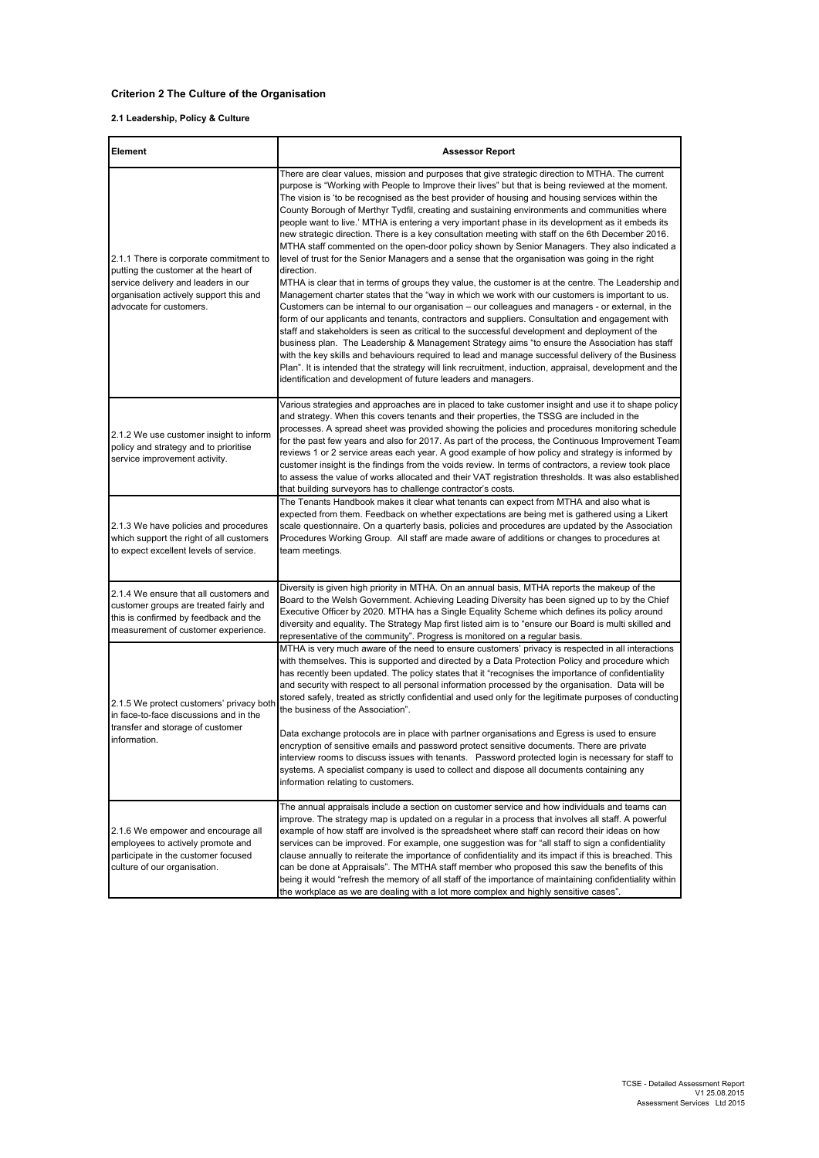# **Criterion 2 The Culture of the Organisation**

## **2.1 Leadership, Policy & Culture**

| Element                                                                                                                                                                                    | <b>Assessor Report</b>                                                                                                                                                                                                                                                                                                                                                                                                                                                                                                                                                                                                                                                                                                                                                                                                                                                                                                                                                                                                                                                                                                                                                                                                                                                                                                                                                                                                                                                                                                                                                                                                                                                                                                                      |
|--------------------------------------------------------------------------------------------------------------------------------------------------------------------------------------------|---------------------------------------------------------------------------------------------------------------------------------------------------------------------------------------------------------------------------------------------------------------------------------------------------------------------------------------------------------------------------------------------------------------------------------------------------------------------------------------------------------------------------------------------------------------------------------------------------------------------------------------------------------------------------------------------------------------------------------------------------------------------------------------------------------------------------------------------------------------------------------------------------------------------------------------------------------------------------------------------------------------------------------------------------------------------------------------------------------------------------------------------------------------------------------------------------------------------------------------------------------------------------------------------------------------------------------------------------------------------------------------------------------------------------------------------------------------------------------------------------------------------------------------------------------------------------------------------------------------------------------------------------------------------------------------------------------------------------------------------|
| 2.1.1 There is corporate commitment to<br>putting the customer at the heart of<br>service delivery and leaders in our<br>organisation actively support this and<br>advocate for customers. | There are clear values, mission and purposes that give strategic direction to MTHA. The current<br>purpose is "Working with People to Improve their lives" but that is being reviewed at the moment.<br>The vision is 'to be recognised as the best provider of housing and housing services within the<br>County Borough of Merthyr Tydfil, creating and sustaining environments and communities where<br>people want to live.' MTHA is entering a very important phase in its development as it embeds its<br>new strategic direction. There is a key consultation meeting with staff on the 6th December 2016.<br>MTHA staff commented on the open-door policy shown by Senior Managers. They also indicated a<br>level of trust for the Senior Managers and a sense that the organisation was going in the right<br>direction.<br>MTHA is clear that in terms of groups they value, the customer is at the centre. The Leadership and<br>Management charter states that the "way in which we work with our customers is important to us.<br>Customers can be internal to our organisation – our colleagues and managers - or external, in the<br>form of our applicants and tenants, contractors and suppliers. Consultation and engagement with<br>staff and stakeholders is seen as critical to the successful development and deployment of the<br>business plan. The Leadership & Management Strategy aims "to ensure the Association has staff<br>with the key skills and behaviours required to lead and manage successful delivery of the Business<br>Plan". It is intended that the strategy will link recruitment, induction, appraisal, development and the<br>identification and development of future leaders and managers. |
| 2.1.2 We use customer insight to inform<br>policy and strategy and to prioritise<br>service improvement activity.                                                                          | Various strategies and approaches are in placed to take customer insight and use it to shape policy<br>and strategy. When this covers tenants and their properties, the TSSG are included in the<br>processes. A spread sheet was provided showing the policies and procedures monitoring schedule<br>for the past few years and also for 2017. As part of the process, the Continuous Improvement Team<br>reviews 1 or 2 service areas each year. A good example of how policy and strategy is informed by<br>customer insight is the findings from the voids review. In terms of contractors, a review took place<br>to assess the value of works allocated and their VAT registration thresholds. It was also established<br>that building surveyors has to challenge contractor's costs.                                                                                                                                                                                                                                                                                                                                                                                                                                                                                                                                                                                                                                                                                                                                                                                                                                                                                                                                                |
| 2.1.3 We have policies and procedures<br>which support the right of all customers<br>to expect excellent levels of service.                                                                | The Tenants Handbook makes it clear what tenants can expect from MTHA and also what is<br>expected from them. Feedback on whether expectations are being met is gathered using a Likert<br>scale questionnaire. On a quarterly basis, policies and procedures are updated by the Association<br>Procedures Working Group. All staff are made aware of additions or changes to procedures at<br>team meetings.                                                                                                                                                                                                                                                                                                                                                                                                                                                                                                                                                                                                                                                                                                                                                                                                                                                                                                                                                                                                                                                                                                                                                                                                                                                                                                                               |
| 2.1.4 We ensure that all customers and<br>customer groups are treated fairly and<br>this is confirmed by feedback and the<br>measurement of customer experience.                           | Diversity is given high priority in MTHA. On an annual basis, MTHA reports the makeup of the<br>Board to the Welsh Government. Achieving Leading Diversity has been signed up to by the Chief<br>Executive Officer by 2020. MTHA has a Single Equality Scheme which defines its policy around<br>diversity and equality. The Strategy Map first listed aim is to "ensure our Board is multi skilled and<br>representative of the community". Progress is monitored on a regular basis.                                                                                                                                                                                                                                                                                                                                                                                                                                                                                                                                                                                                                                                                                                                                                                                                                                                                                                                                                                                                                                                                                                                                                                                                                                                      |
| 2.1.5 We protect customers' privacy both<br>in face-to-face discussions and in the<br>transfer and storage of customer<br>information.                                                     | MTHA is very much aware of the need to ensure customers' privacy is respected in all interactions<br>with themselves. This is supported and directed by a Data Protection Policy and procedure which<br>has recently been updated. The policy states that it "recognises the importance of confidentiality<br>and security with respect to all personal information processed by the organisation. Data will be<br>stored safely, treated as strictly confidential and used only for the legitimate purposes of conducting<br>the business of the Association".<br>Data exchange protocols are in place with partner organisations and Egress is used to ensure<br>encryption of sensitive emails and password protect sensitive documents. There are private<br>interview rooms to discuss issues with tenants. Password protected login is necessary for staff to<br>systems. A specialist company is used to collect and dispose all documents containing any<br>information relating to customers.                                                                                                                                                                                                                                                                                                                                                                                                                                                                                                                                                                                                                                                                                                                                      |
| 2.1.6 We empower and encourage all<br>employees to actively promote and<br>participate in the customer focused<br>culture of our organisation.                                             | The annual appraisals include a section on customer service and how individuals and teams can<br>improve. The strategy map is updated on a regular in a process that involves all staff. A powerful<br>example of how staff are involved is the spreadsheet where staff can record their ideas on how<br>services can be improved. For example, one suggestion was for "all staff to sign a confidentiality<br>clause annually to reiterate the importance of confidentiality and its impact if this is breached. This<br>can be done at Appraisals". The MTHA staff member who proposed this saw the benefits of this<br>being it would "refresh the memory of all staff of the importance of maintaining confidentiality within<br>the workplace as we are dealing with a lot more complex and highly sensitive cases".                                                                                                                                                                                                                                                                                                                                                                                                                                                                                                                                                                                                                                                                                                                                                                                                                                                                                                                   |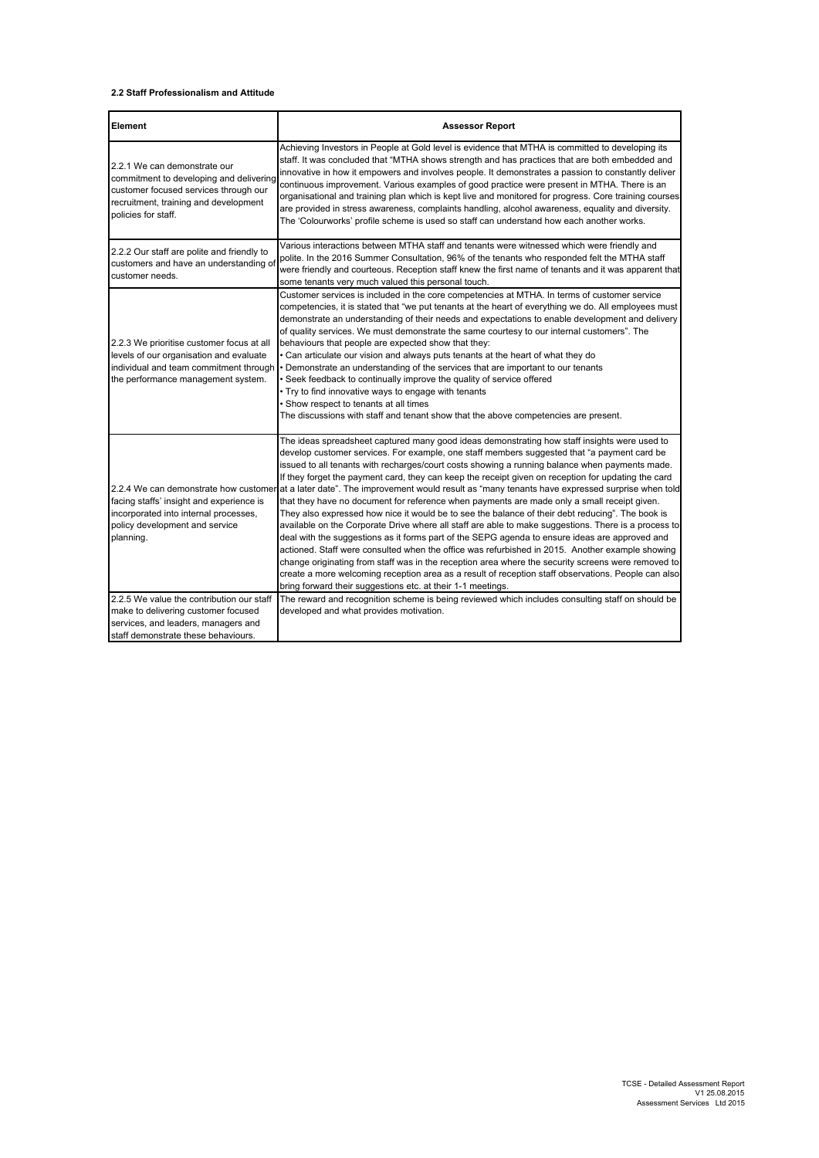### **2.2 Staff Professionalism and Attitude**

| Element                                                                                                                                                                          | <b>Assessor Report</b>                                                                                                                                                                                                                                                                                                                                                                                                                                                                                                                                                                                                                                                                                                                                                                                                                                                                                                                                                                                                                                                                                                                                                                                                                                                                                |
|----------------------------------------------------------------------------------------------------------------------------------------------------------------------------------|-------------------------------------------------------------------------------------------------------------------------------------------------------------------------------------------------------------------------------------------------------------------------------------------------------------------------------------------------------------------------------------------------------------------------------------------------------------------------------------------------------------------------------------------------------------------------------------------------------------------------------------------------------------------------------------------------------------------------------------------------------------------------------------------------------------------------------------------------------------------------------------------------------------------------------------------------------------------------------------------------------------------------------------------------------------------------------------------------------------------------------------------------------------------------------------------------------------------------------------------------------------------------------------------------------|
| 2.2.1 We can demonstrate our<br>commitment to developing and delivering<br>customer focused services through our<br>recruitment, training and development<br>policies for staff. | Achieving Investors in People at Gold level is evidence that MTHA is committed to developing its<br>staff. It was concluded that "MTHA shows strength and has practices that are both embedded and<br>innovative in how it empowers and involves people. It demonstrates a passion to constantly deliver<br>continuous improvement. Various examples of good practice were present in MTHA. There is an<br>organisational and training plan which is kept live and monitored for progress. Core training courses<br>are provided in stress awareness, complaints handling, alcohol awareness, equality and diversity.<br>The 'Colourworks' profile scheme is used so staff can understand how each another works.                                                                                                                                                                                                                                                                                                                                                                                                                                                                                                                                                                                     |
| 2.2.2 Our staff are polite and friendly to<br>customers and have an understanding of<br>customer needs.                                                                          | Various interactions between MTHA staff and tenants were witnessed which were friendly and<br>polite. In the 2016 Summer Consultation, 96% of the tenants who responded felt the MTHA staff<br>were friendly and courteous. Reception staff knew the first name of tenants and it was apparent that<br>some tenants very much valued this personal touch.                                                                                                                                                                                                                                                                                                                                                                                                                                                                                                                                                                                                                                                                                                                                                                                                                                                                                                                                             |
| 2.2.3 We prioritise customer focus at all<br>levels of our organisation and evaluate<br>individual and team commitment through<br>the performance management system.             | Customer services is included in the core competencies at MTHA. In terms of customer service<br>competencies, it is stated that "we put tenants at the heart of everything we do. All employees must<br>demonstrate an understanding of their needs and expectations to enable development and delivery<br>of quality services. We must demonstrate the same courtesy to our internal customers". The<br>behaviours that people are expected show that they:<br>• Can articulate our vision and always puts tenants at the heart of what they do<br>Demonstrate an understanding of the services that are important to our tenants<br>Seek feedback to continually improve the quality of service offered<br>. Try to find innovative ways to engage with tenants<br>· Show respect to tenants at all times<br>The discussions with staff and tenant show that the above competencies are present.                                                                                                                                                                                                                                                                                                                                                                                                    |
| 2.2.4 We can demonstrate how customer<br>facing staffs' insight and experience is<br>incorporated into internal processes,<br>policy development and service<br>planning.        | The ideas spreadsheet captured many good ideas demonstrating how staff insights were used to<br>develop customer services. For example, one staff members suggested that "a payment card be<br>issued to all tenants with recharges/court costs showing a running balance when payments made.<br>If they forget the payment card, they can keep the receipt given on reception for updating the card<br>at a later date". The improvement would result as "many tenants have expressed surprise when told<br>that they have no document for reference when payments are made only a small receipt given.<br>They also expressed how nice it would be to see the balance of their debt reducing". The book is<br>available on the Corporate Drive where all staff are able to make suggestions. There is a process to<br>deal with the suggestions as it forms part of the SEPG agenda to ensure ideas are approved and<br>actioned. Staff were consulted when the office was refurbished in 2015. Another example showing<br>change originating from staff was in the reception area where the security screens were removed to<br>create a more welcoming reception area as a result of reception staff observations. People can also<br>bring forward their suggestions etc. at their 1-1 meetings. |
| 2.2.5 We value the contribution our staff<br>make to delivering customer focused<br>services, and leaders, managers and<br>staff demonstrate these behaviours.                   | The reward and recognition scheme is being reviewed which includes consulting staff on should be<br>developed and what provides motivation.                                                                                                                                                                                                                                                                                                                                                                                                                                                                                                                                                                                                                                                                                                                                                                                                                                                                                                                                                                                                                                                                                                                                                           |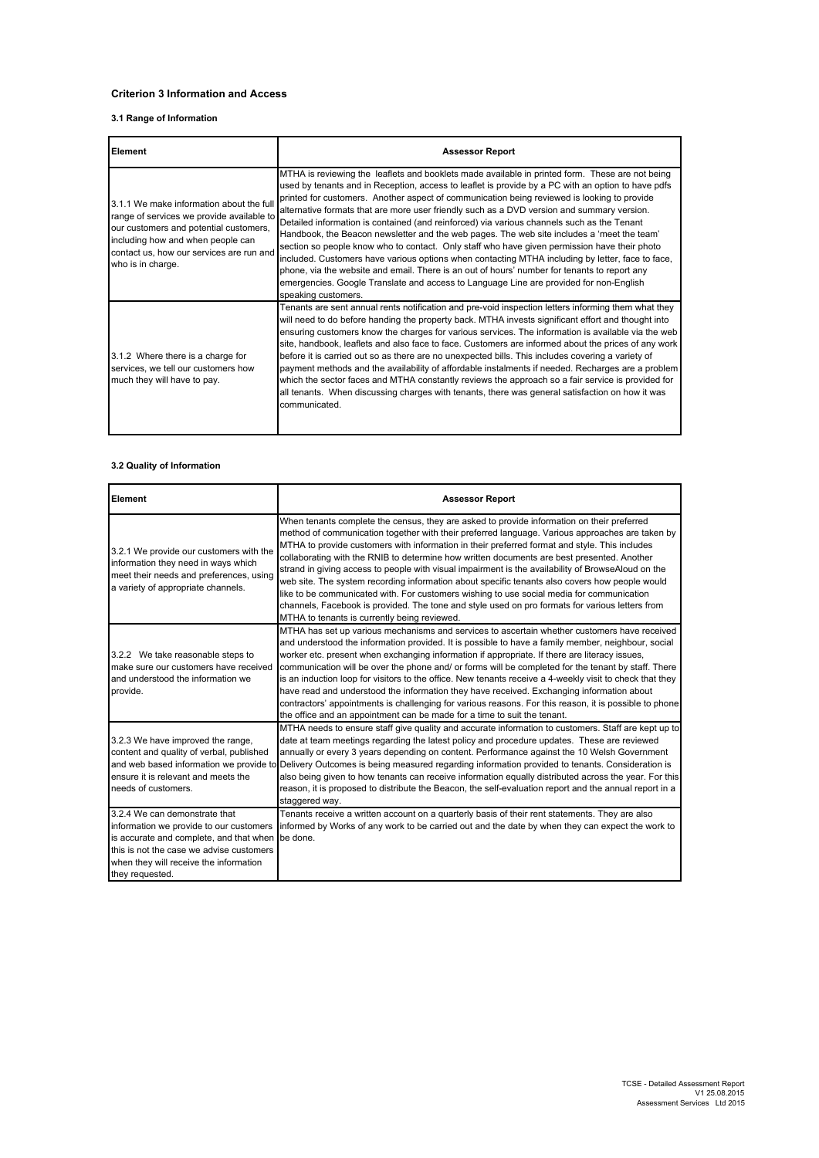## **Criterion 3 Information and Access**

## **3.1 Range of Information**

| Element                                                                                                                                                                                                                               | <b>Assessor Report</b>                                                                                                                                                                                                                                                                                                                                                                                                                                                                                                                                                                                                                                                                                                                                                                                                                                                                                                                                                                                              |
|---------------------------------------------------------------------------------------------------------------------------------------------------------------------------------------------------------------------------------------|---------------------------------------------------------------------------------------------------------------------------------------------------------------------------------------------------------------------------------------------------------------------------------------------------------------------------------------------------------------------------------------------------------------------------------------------------------------------------------------------------------------------------------------------------------------------------------------------------------------------------------------------------------------------------------------------------------------------------------------------------------------------------------------------------------------------------------------------------------------------------------------------------------------------------------------------------------------------------------------------------------------------|
| 3.1.1 We make information about the full<br>range of services we provide available to<br>our customers and potential customers,<br>including how and when people can<br>contact us, how our services are run and<br>who is in charge. | MTHA is reviewing the leaflets and booklets made available in printed form. These are not being<br>used by tenants and in Reception, access to leaflet is provide by a PC with an option to have pdfs<br>printed for customers. Another aspect of communication being reviewed is looking to provide<br>alternative formats that are more user friendly such as a DVD version and summary version.<br>Detailed information is contained (and reinforced) via various channels such as the Tenant<br>Handbook, the Beacon newsletter and the web pages. The web site includes a 'meet the team'<br>section so people know who to contact. Only staff who have given permission have their photo<br>included. Customers have various options when contacting MTHA including by letter, face to face,<br>phone, via the website and email. There is an out of hours' number for tenants to report any<br>emergencies. Google Translate and access to Language Line are provided for non-English<br>speaking customers. |
| 3.1.2 Where there is a charge for<br>services, we tell our customers how<br>much they will have to pay.                                                                                                                               | Tenants are sent annual rents notification and pre-void inspection letters informing them what they<br>will need to do before handing the property back. MTHA invests significant effort and thought into<br>ensuring customers know the charges for various services. The information is available via the web<br>site, handbook, leaflets and also face to face. Customers are informed about the prices of any work<br>before it is carried out so as there are no unexpected bills. This includes covering a variety of<br>payment methods and the availability of affordable instalments if needed. Recharges are a problem<br>which the sector faces and MTHA constantly reviews the approach so a fair service is provided for<br>all tenants. When discussing charges with tenants, there was general satisfaction on how it was<br>communicated.                                                                                                                                                           |

## **3.2 Quality of Information**

| Element                                                                                                                                                                                                                      | <b>Assessor Report</b>                                                                                                                                                                                                                                                                                                                                                                                                                                                                                                                                                                                                                                                                                                                                                                                                                               |
|------------------------------------------------------------------------------------------------------------------------------------------------------------------------------------------------------------------------------|------------------------------------------------------------------------------------------------------------------------------------------------------------------------------------------------------------------------------------------------------------------------------------------------------------------------------------------------------------------------------------------------------------------------------------------------------------------------------------------------------------------------------------------------------------------------------------------------------------------------------------------------------------------------------------------------------------------------------------------------------------------------------------------------------------------------------------------------------|
| 3.2.1 We provide our customers with the<br>information they need in ways which<br>meet their needs and preferences, using<br>a variety of appropriate channels.                                                              | When tenants complete the census, they are asked to provide information on their preferred<br>method of communication together with their preferred language. Various approaches are taken by<br>MTHA to provide customers with information in their preferred format and style. This includes<br>collaborating with the RNIB to determine how written documents are best presented. Another<br>strand in giving access to people with visual impairment is the availability of BrowseAloud on the<br>web site. The system recording information about specific tenants also covers how people would<br>like to be communicated with. For customers wishing to use social media for communication<br>channels, Facebook is provided. The tone and style used on pro formats for various letters from<br>MTHA to tenants is currently being reviewed. |
| 3.2.2 We take reasonable steps to<br>make sure our customers have received<br>and understood the information we<br>provide.                                                                                                  | MTHA has set up various mechanisms and services to ascertain whether customers have received<br>and understood the information provided. It is possible to have a family member, neighbour, social<br>worker etc. present when exchanging information if appropriate. If there are literacy issues,<br>communication will be over the phone and/ or forms will be completed for the tenant by staff. There<br>is an induction loop for visitors to the office. New tenants receive a 4-weekly visit to check that they<br>have read and understood the information they have received. Exchanging information about<br>contractors' appointments is challenging for various reasons. For this reason, it is possible to phone<br>the office and an appointment can be made for a time to suit the tenant.                                            |
| 3.2.3 We have improved the range,<br>content and quality of verbal, published<br>ensure it is relevant and meets the<br>needs of customers.                                                                                  | MTHA needs to ensure staff give quality and accurate information to customers. Staff are kept up to<br>date at team meetings regarding the latest policy and procedure updates. These are reviewed<br>annually or every 3 years depending on content. Performance against the 10 Welsh Government<br>and web based information we provide to Delivery Outcomes is being measured regarding information provided to tenants. Consideration is<br>also being given to how tenants can receive information equally distributed across the year. For this<br>reason, it is proposed to distribute the Beacon, the self-evaluation report and the annual report in a<br>staggered way.                                                                                                                                                                    |
| 3.2.4 We can demonstrate that<br>information we provide to our customers<br>is accurate and complete, and that when<br>this is not the case we advise customers<br>when they will receive the information<br>they requested. | Tenants receive a written account on a quarterly basis of their rent statements. They are also<br>informed by Works of any work to be carried out and the date by when they can expect the work to<br>be done.                                                                                                                                                                                                                                                                                                                                                                                                                                                                                                                                                                                                                                       |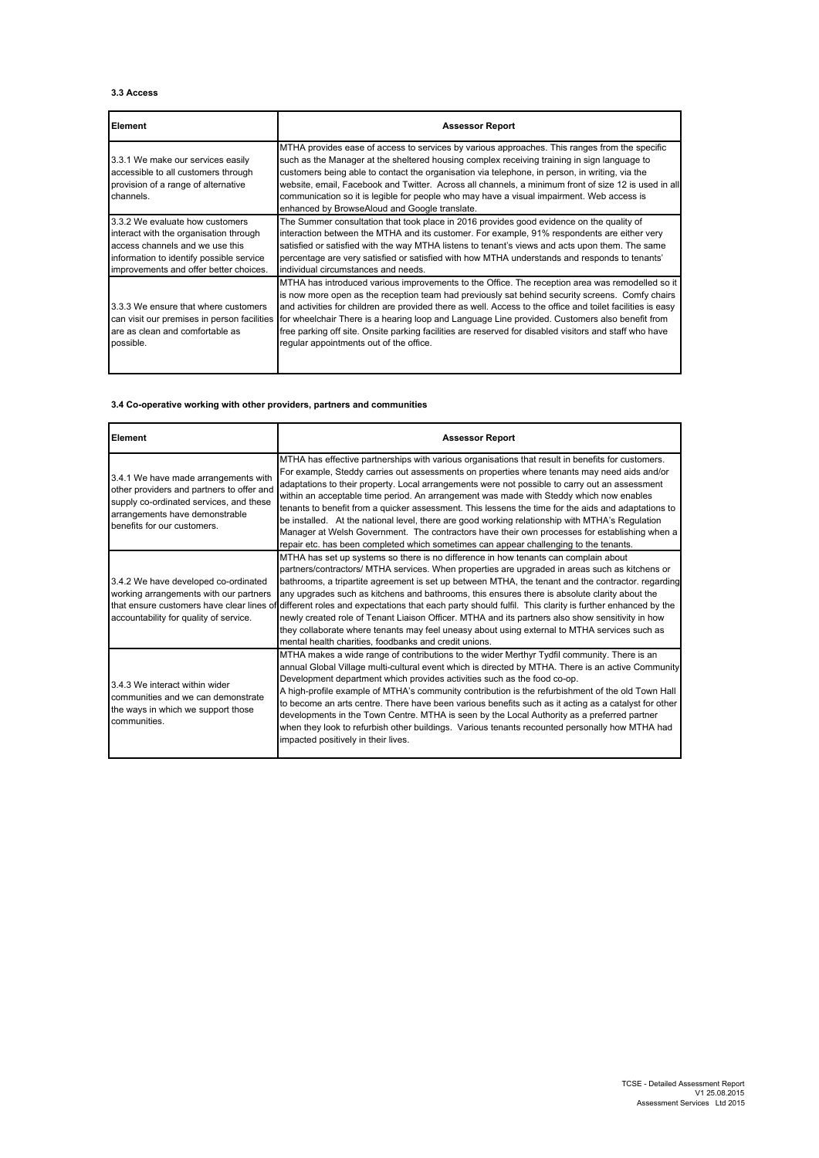### **3.3 Access**

| Element                                                                                                                                                                                            | <b>Assessor Report</b>                                                                                                                                                                                                                                                                                                                                                                                                                                                                                                                                                  |
|----------------------------------------------------------------------------------------------------------------------------------------------------------------------------------------------------|-------------------------------------------------------------------------------------------------------------------------------------------------------------------------------------------------------------------------------------------------------------------------------------------------------------------------------------------------------------------------------------------------------------------------------------------------------------------------------------------------------------------------------------------------------------------------|
| 3.3.1 We make our services easily<br>accessible to all customers through<br>provision of a range of alternative<br>channels.                                                                       | MTHA provides ease of access to services by various approaches. This ranges from the specific<br>such as the Manager at the sheltered housing complex receiving training in sign language to<br>customers being able to contact the organisation via telephone, in person, in writing, via the<br>website, email, Facebook and Twitter. Across all channels, a minimum front of size 12 is used in all<br>communication so it is legible for people who may have a visual impairment. Web access is<br>enhanced by BrowseAloud and Google translate.                    |
| 3.3.2 We evaluate how customers<br>interact with the organisation through<br>access channels and we use this<br>information to identify possible service<br>improvements and offer better choices. | The Summer consultation that took place in 2016 provides good evidence on the quality of<br>interaction between the MTHA and its customer. For example, 91% respondents are either very<br>satisfied or satisfied with the way MTHA listens to tenant's views and acts upon them. The same<br>percentage are very satisfied or satisfied with how MTHA understands and responds to tenants'<br>individual circumstances and needs.                                                                                                                                      |
| 3.3.3 We ensure that where customers<br>can visit our premises in person facilities<br>are as clean and comfortable as<br>possible.                                                                | MTHA has introduced various improvements to the Office. The reception area was remodelled so it<br>is now more open as the reception team had previously sat behind security screens. Comfy chairs<br>and activities for children are provided there as well. Access to the office and toilet facilities is easy<br>for wheelchair There is a hearing loop and Language Line provided. Customers also benefit from<br>free parking off site. Onsite parking facilities are reserved for disabled visitors and staff who have<br>regular appointments out of the office. |

### **3.4 Co-operative working with other providers, partners and communities**

| Element                                                                                                                                                                                       | <b>Assessor Report</b>                                                                                                                                                                                                                                                                                                                                                                                                                                                                                                                                                                                                                                                                                                                                                                             |
|-----------------------------------------------------------------------------------------------------------------------------------------------------------------------------------------------|----------------------------------------------------------------------------------------------------------------------------------------------------------------------------------------------------------------------------------------------------------------------------------------------------------------------------------------------------------------------------------------------------------------------------------------------------------------------------------------------------------------------------------------------------------------------------------------------------------------------------------------------------------------------------------------------------------------------------------------------------------------------------------------------------|
| 3.4.1 We have made arrangements with<br>other providers and partners to offer and<br>supply co-ordinated services, and these<br>arrangements have demonstrable<br>benefits for our customers. | MTHA has effective partnerships with various organisations that result in benefits for customers.<br>For example, Steddy carries out assessments on properties where tenants may need aids and/or<br>adaptations to their property. Local arrangements were not possible to carry out an assessment<br>within an acceptable time period. An arrangement was made with Steddy which now enables<br>tenants to benefit from a quicker assessment. This lessens the time for the aids and adaptations to<br>be installed. At the national level, there are good working relationship with MTHA's Regulation<br>Manager at Welsh Government. The contractors have their own processes for establishing when a<br>repair etc. has been completed which sometimes can appear challenging to the tenants. |
| 3.4.2 We have developed co-ordinated<br>working arrangements with our partners<br>that ensure customers have clear lines of<br>accountability for quality of service.                         | MTHA has set up systems so there is no difference in how tenants can complain about<br>partners/contractors/ MTHA services. When properties are upgraded in areas such as kitchens or<br>bathrooms, a tripartite agreement is set up between MTHA, the tenant and the contractor. regarding<br>any upgrades such as kitchens and bathrooms, this ensures there is absolute clarity about the<br>different roles and expectations that each party should fulfil. This clarity is further enhanced by the<br>newly created role of Tenant Liaison Officer. MTHA and its partners also show sensitivity in how<br>they collaborate where tenants may feel uneasy about using external to MTHA services such as<br>mental health charities, foodbanks and credit unions.                               |
| 3.4.3 We interact within wider<br>communities and we can demonstrate<br>the ways in which we support those<br>communities.                                                                    | MTHA makes a wide range of contributions to the wider Merthyr Tydfil community. There is an<br>annual Global Village multi-cultural event which is directed by MTHA. There is an active Community<br>Development department which provides activities such as the food co-op.<br>A high-profile example of MTHA's community contribution is the refurbishment of the old Town Hall<br>to become an arts centre. There have been various benefits such as it acting as a catalyst for other<br>developments in the Town Centre. MTHA is seen by the Local Authority as a preferred partner<br>when they look to refurbish other buildings. Various tenants recounted personally how MTHA had<br>impacted positively in their lives.                                                                 |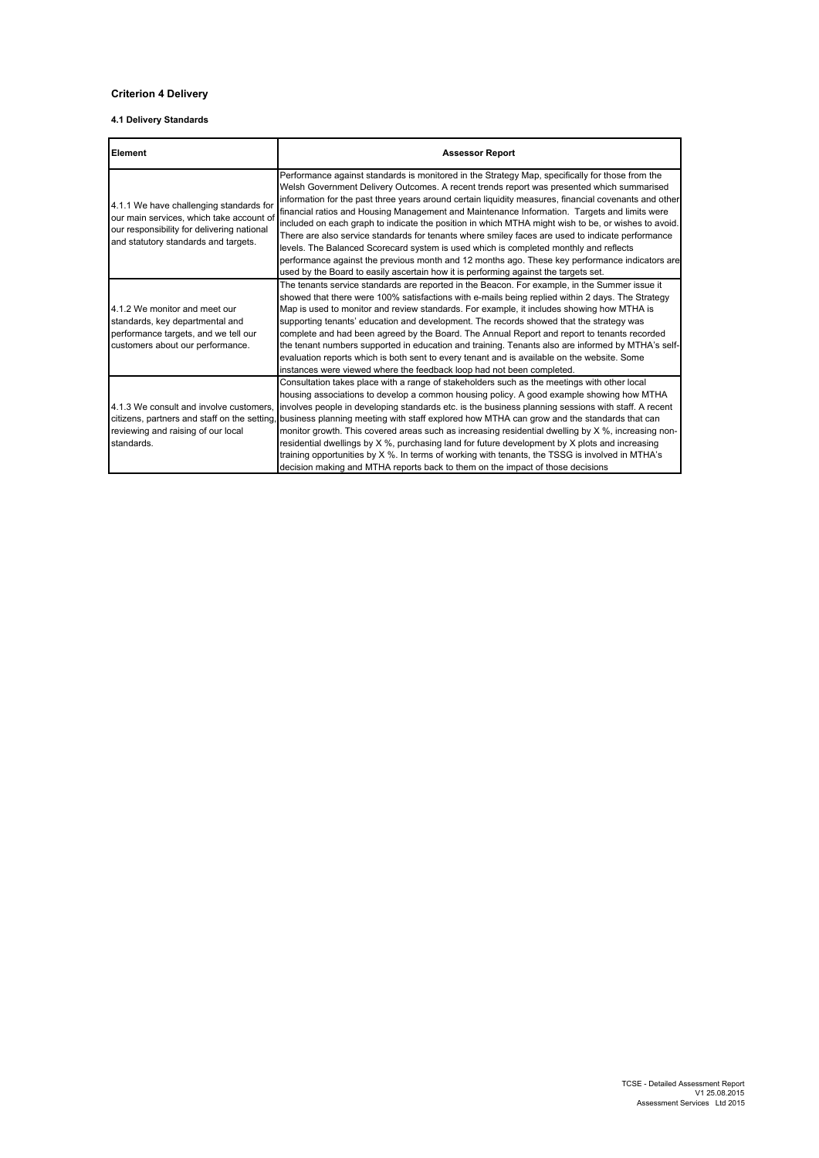## **Criterion 4 Delivery**

### **4.1 Delivery Standards**

| Element                                                                                                                                                                   | <b>Assessor Report</b>                                                                                                                                                                                                                                                                                                                                                                                                                                                                                                                                                                                                                                                                                                                                                                                                                                                                             |
|---------------------------------------------------------------------------------------------------------------------------------------------------------------------------|----------------------------------------------------------------------------------------------------------------------------------------------------------------------------------------------------------------------------------------------------------------------------------------------------------------------------------------------------------------------------------------------------------------------------------------------------------------------------------------------------------------------------------------------------------------------------------------------------------------------------------------------------------------------------------------------------------------------------------------------------------------------------------------------------------------------------------------------------------------------------------------------------|
| 4.1.1 We have challenging standards for<br>our main services, which take account of<br>our responsibility for delivering national<br>and statutory standards and targets. | Performance against standards is monitored in the Strategy Map, specifically for those from the<br>Welsh Government Delivery Outcomes. A recent trends report was presented which summarised<br>information for the past three years around certain liquidity measures, financial covenants and other<br>financial ratios and Housing Management and Maintenance Information. Targets and limits were<br>included on each graph to indicate the position in which MTHA might wish to be, or wishes to avoid.<br>There are also service standards for tenants where smiley faces are used to indicate performance<br>levels. The Balanced Scorecard system is used which is completed monthly and reflects<br>performance against the previous month and 12 months ago. These key performance indicators are<br>used by the Board to easily ascertain how it is performing against the targets set. |
| 4.1.2 We monitor and meet our<br>standards, key departmental and<br>performance targets, and we tell our<br>customers about our performance.                              | The tenants service standards are reported in the Beacon. For example, in the Summer issue it<br>showed that there were 100% satisfactions with e-mails being replied within 2 days. The Strategy<br>Map is used to monitor and review standards. For example, it includes showing how MTHA is<br>supporting tenants' education and development. The records showed that the strategy was<br>complete and had been agreed by the Board. The Annual Report and report to tenants recorded<br>the tenant numbers supported in education and training. Tenants also are informed by MTHA's self-<br>evaluation reports which is both sent to every tenant and is available on the website. Some<br>instances were viewed where the feedback loop had not been completed.                                                                                                                              |
| 4.1.3 We consult and involve customers.<br>citizens, partners and staff on the setting.<br>reviewing and raising of our local<br>standards.                               | Consultation takes place with a range of stakeholders such as the meetings with other local<br>housing associations to develop a common housing policy. A good example showing how MTHA<br>involves people in developing standards etc. is the business planning sessions with staff. A recent<br>business planning meeting with staff explored how MTHA can grow and the standards that can<br>monitor growth. This covered areas such as increasing residential dwelling by X %, increasing non-<br>residential dwellings by $X$ %, purchasing land for future development by $X$ plots and increasing<br>training opportunities by X %. In terms of working with tenants, the TSSG is involved in MTHA's<br>decision making and MTHA reports back to them on the impact of those decisions                                                                                                      |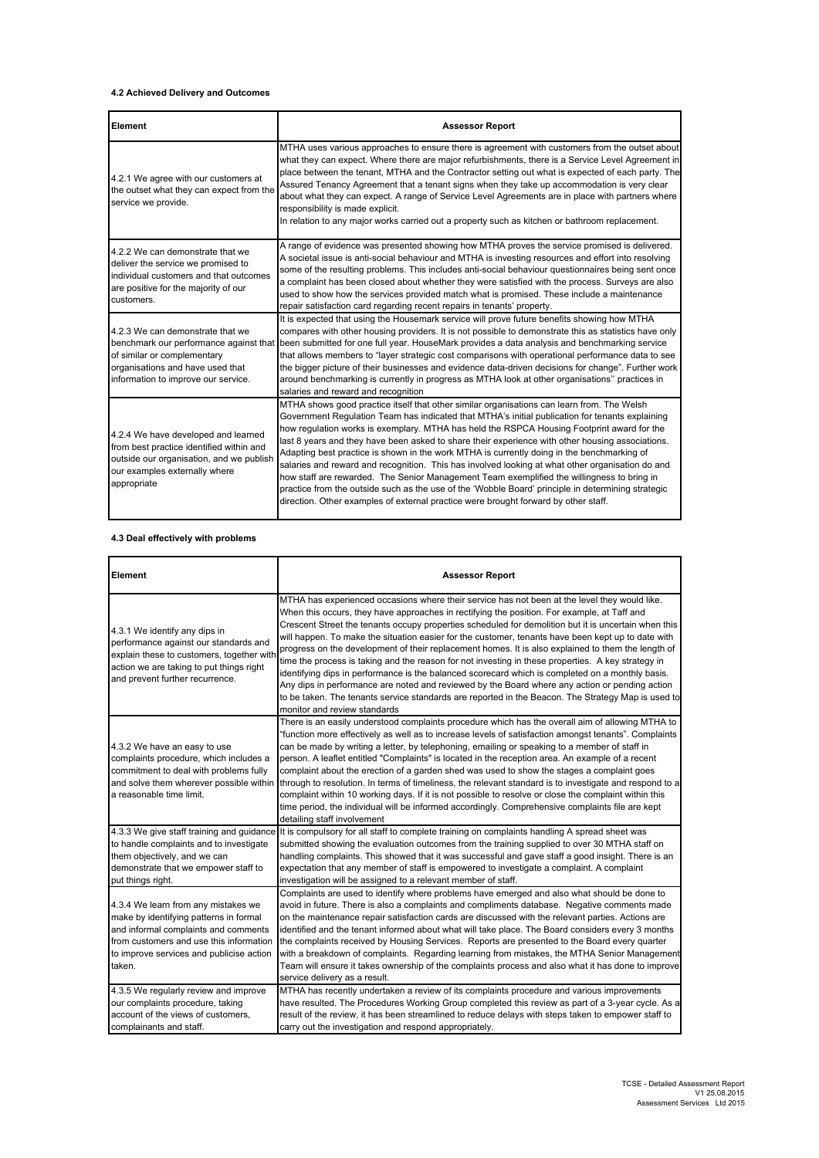### **4.2 Achieved Delivery and Outcomes**

| Element                                                                                                                                                                     | <b>Assessor Report</b>                                                                                                                                                                                                                                                                                                                                                                                                                                                                                                                                                                                                                                                                                                                                                                                                                                                                       |
|-----------------------------------------------------------------------------------------------------------------------------------------------------------------------------|----------------------------------------------------------------------------------------------------------------------------------------------------------------------------------------------------------------------------------------------------------------------------------------------------------------------------------------------------------------------------------------------------------------------------------------------------------------------------------------------------------------------------------------------------------------------------------------------------------------------------------------------------------------------------------------------------------------------------------------------------------------------------------------------------------------------------------------------------------------------------------------------|
| 4.2.1 We agree with our customers at<br>the outset what they can expect from the<br>service we provide.                                                                     | MTHA uses various approaches to ensure there is agreement with customers from the outset about<br>what they can expect. Where there are major refurbishments, there is a Service Level Agreement in<br>place between the tenant, MTHA and the Contractor setting out what is expected of each party. The<br>Assured Tenancy Agreement that a tenant signs when they take up accommodation is very clear<br>about what they can expect. A range of Service Level Agreements are in place with partners where<br>responsibility is made explicit.<br>In relation to any major works carried out a property such as kitchen or bathroom replacement.                                                                                                                                                                                                                                            |
| 4.2.2 We can demonstrate that we<br>deliver the service we promised to<br>individual customers and that outcomes<br>are positive for the majority of our<br>customers.      | A range of evidence was presented showing how MTHA proves the service promised is delivered.<br>A societal issue is anti-social behaviour and MTHA is investing resources and effort into resolving<br>some of the resulting problems. This includes anti-social behaviour questionnaires being sent once<br>a complaint has been closed about whether they were satisfied with the process. Surveys are also<br>used to show how the services provided match what is promised. These include a maintenance<br>repair satisfaction card regarding recent repairs in tenants' property.                                                                                                                                                                                                                                                                                                       |
| 4.2.3 We can demonstrate that we<br>of similar or complementary<br>organisations and have used that<br>information to improve our service.                                  | It is expected that using the Housemark service will prove future benefits showing how MTHA<br>compares with other housing providers. It is not possible to demonstrate this as statistics have only<br>benchmark our performance against that been submitted for one full year. HouseMark provides a data analysis and benchmarking service<br>that allows members to "layer strategic cost comparisons with operational performance data to see<br>the bigger picture of their businesses and evidence data-driven decisions for change". Further work<br>around benchmarking is currently in progress as MTHA look at other organisations" practices in<br>salaries and reward and recognition                                                                                                                                                                                            |
| 4.2.4 We have developed and learned<br>from best practice identified within and<br>outside our organisation, and we publish<br>our examples externally where<br>appropriate | MTHA shows good practice itself that other similar organisations can learn from. The Welsh<br>Government Regulation Team has indicated that MTHA's initial publication for tenants explaining<br>how regulation works is exemplary. MTHA has held the RSPCA Housing Footprint award for the<br>last 8 years and they have been asked to share their experience with other housing associations.<br>Adapting best practice is shown in the work MTHA is currently doing in the benchmarking of<br>salaries and reward and recognition. This has involved looking at what other organisation do and<br>how staff are rewarded. The Senior Management Team exemplified the willingness to bring in<br>practice from the outside such as the use of the 'Wobble Board' principle in determining strategic<br>direction. Other examples of external practice were brought forward by other staff. |

## **4.3 Deal effectively with problems**

| Element                                                                                                                                                                                                                | <b>Assessor Report</b>                                                                                                                                                                                                                                                                                                                                                                                                                                                                                                                                                                                                                                                                                                                                                                                                                                                                                                                                             |
|------------------------------------------------------------------------------------------------------------------------------------------------------------------------------------------------------------------------|--------------------------------------------------------------------------------------------------------------------------------------------------------------------------------------------------------------------------------------------------------------------------------------------------------------------------------------------------------------------------------------------------------------------------------------------------------------------------------------------------------------------------------------------------------------------------------------------------------------------------------------------------------------------------------------------------------------------------------------------------------------------------------------------------------------------------------------------------------------------------------------------------------------------------------------------------------------------|
| 4.3.1 We identify any dips in<br>performance against our standards and<br>explain these to customers, together with<br>action we are taking to put things right<br>and prevent further recurrence.                     | MTHA has experienced occasions where their service has not been at the level they would like.<br>When this occurs, they have approaches in rectifying the position. For example, at Taff and<br>Crescent Street the tenants occupy properties scheduled for demolition but it is uncertain when this<br>will happen. To make the situation easier for the customer, tenants have been kept up to date with<br>progress on the development of their replacement homes. It is also explained to them the length of<br>time the process is taking and the reason for not investing in these properties. A key strategy in<br>identifying dips in performance is the balanced scorecard which is completed on a monthly basis.<br>Any dips in performance are noted and reviewed by the Board where any action or pending action<br>to be taken. The tenants service standards are reported in the Beacon. The Strategy Map is used to<br>monitor and review standards |
| 4.3.2 We have an easy to use<br>complaints procedure, which includes a<br>commitment to deal with problems fully<br>and solve them wherever possible within<br>a reasonable time limit.                                | There is an easily understood complaints procedure which has the overall aim of allowing MTHA to<br>"function more effectively as well as to increase levels of satisfaction amongst tenants". Complaints<br>can be made by writing a letter, by telephoning, emailing or speaking to a member of staff in<br>person. A leaflet entitled "Complaints" is located in the reception area. An example of a recent<br>complaint about the erection of a garden shed was used to show the stages a complaint goes<br>through to resolution. In terms of timeliness, the relevant standard is to investigate and respond to a<br>complaint within 10 working days. If it is not possible to resolve or close the complaint within this<br>time period, the individual will be informed accordingly. Comprehensive complaints file are kept<br>detailing staff involvement                                                                                                |
| 4.3.3 We give staff training and guidance<br>to handle complaints and to investigate<br>them objectively, and we can<br>demonstrate that we empower staff to<br>put things right.                                      | It is compulsory for all staff to complete training on complaints handling A spread sheet was<br>submitted showing the evaluation outcomes from the training supplied to over 30 MTHA staff on<br>handling complaints. This showed that it was successful and gave staff a good insight. There is an<br>expectation that any member of staff is empowered to investigate a complaint. A complaint<br>investigation will be assigned to a relevant member of staff.                                                                                                                                                                                                                                                                                                                                                                                                                                                                                                 |
| 4.3.4 We learn from any mistakes we<br>make by identifying patterns in formal<br>and informal complaints and comments<br>from customers and use this information<br>to improve services and publicise action<br>taken. | Complaints are used to identify where problems have emerged and also what should be done to<br>avoid in future. There is also a complaints and compliments database. Negative comments made<br>on the maintenance repair satisfaction cards are discussed with the relevant parties. Actions are<br>identified and the tenant informed about what will take place. The Board considers every 3 months<br>the complaints received by Housing Services. Reports are presented to the Board every quarter<br>with a breakdown of complaints. Regarding learning from mistakes, the MTHA Senior Management<br>Team will ensure it takes ownership of the complaints process and also what it has done to improve<br>service delivery as a result.                                                                                                                                                                                                                      |
| 4.3.5 We regularly review and improve<br>our complaints procedure, taking<br>account of the views of customers,<br>complainants and staff.                                                                             | MTHA has recently undertaken a review of its complaints procedure and various improvements<br>have resulted. The Procedures Working Group completed this review as part of a 3-year cycle. As a<br>result of the review, it has been streamlined to reduce delays with steps taken to empower staff to<br>carry out the investigation and respond appropriately.                                                                                                                                                                                                                                                                                                                                                                                                                                                                                                                                                                                                   |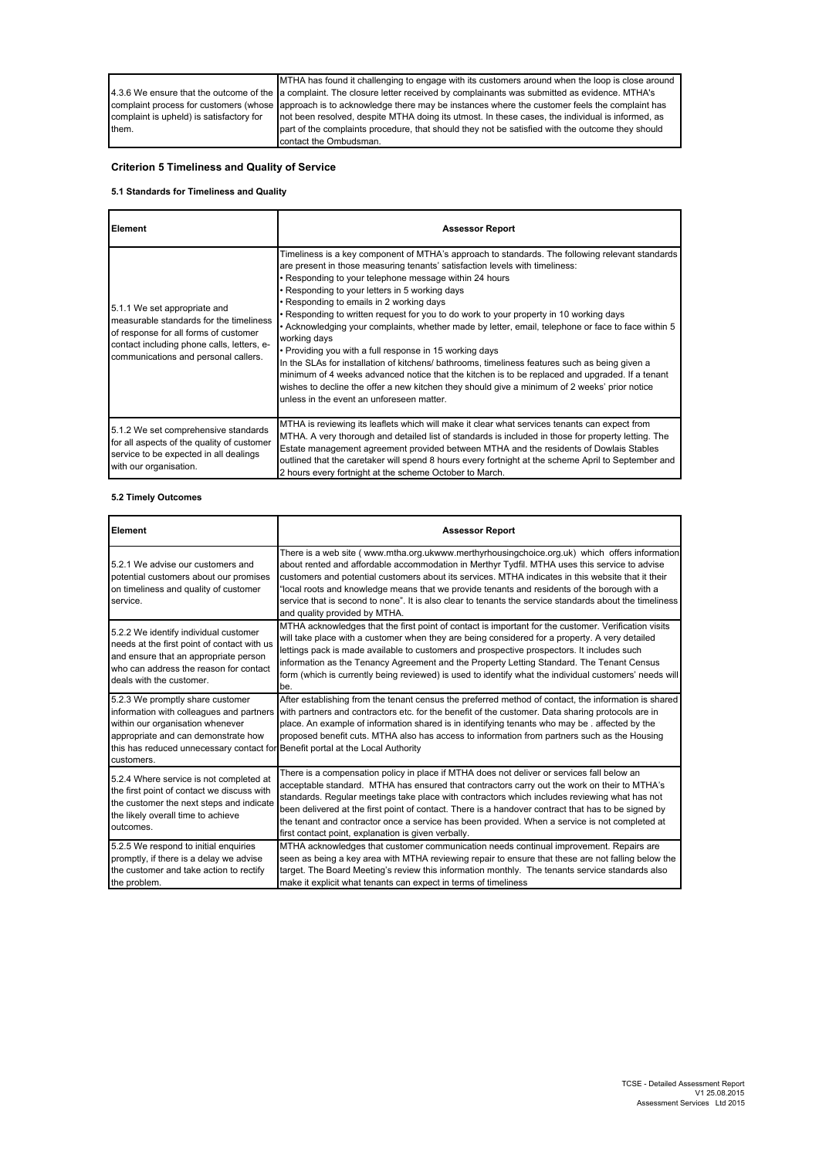|                                          | MTHA has found it challenging to engage with its customers around when the loop is close around                                     |
|------------------------------------------|-------------------------------------------------------------------------------------------------------------------------------------|
|                                          | 4.3.6 We ensure that the outcome of the a complaint. The closure letter received by complainants was submitted as evidence. MTHA's  |
|                                          | complaint process for customers (whose approach is to acknowledge there may be instances where the customer feels the complaint has |
| complaint is upheld) is satisfactory for | not been resolved, despite MTHA doing its utmost. In these cases, the individual is informed, as                                    |
| them.                                    | part of the complaints procedure, that should they not be satisfied with the outcome they should                                    |
|                                          | contact the Ombudsman.                                                                                                              |

# **Criterion 5 Timeliness and Quality of Service**

## **5.1 Standards for Timeliness and Quality**

| <b>Element</b>                                                                                                                                                                                         | <b>Assessor Report</b>                                                                                                                                                                                                                                                                                                                                                                                                                                                                                                                                                                                                                                                                                                                                                                                                                                                                                                                                                |
|--------------------------------------------------------------------------------------------------------------------------------------------------------------------------------------------------------|-----------------------------------------------------------------------------------------------------------------------------------------------------------------------------------------------------------------------------------------------------------------------------------------------------------------------------------------------------------------------------------------------------------------------------------------------------------------------------------------------------------------------------------------------------------------------------------------------------------------------------------------------------------------------------------------------------------------------------------------------------------------------------------------------------------------------------------------------------------------------------------------------------------------------------------------------------------------------|
| 5.1.1 We set appropriate and<br>measurable standards for the timeliness<br>of response for all forms of customer<br>contact including phone calls, letters, e-<br>communications and personal callers. | Timeliness is a key component of MTHA's approach to standards. The following relevant standards<br>are present in those measuring tenants' satisfaction levels with timeliness:<br>. Responding to your telephone message within 24 hours<br>. Responding to your letters in 5 working days<br>• Responding to emails in 2 working days<br>. Responding to written request for you to do work to your property in 10 working days<br>. Acknowledging your complaints, whether made by letter, email, telephone or face to face within 5<br>working days<br>• Providing you with a full response in 15 working days<br>In the SLAs for installation of kitchens/ bathrooms, timeliness features such as being given a<br>minimum of 4 weeks advanced notice that the kitchen is to be replaced and upgraded. If a tenant<br>wishes to decline the offer a new kitchen they should give a minimum of 2 weeks' prior notice<br>unless in the event an unforeseen matter. |
| 5.1.2 We set comprehensive standards<br>for all aspects of the quality of customer<br>service to be expected in all dealings<br>with our organisation.                                                 | MTHA is reviewing its leaflets which will make it clear what services tenants can expect from<br>MTHA. A very thorough and detailed list of standards is included in those for property letting. The<br>Estate management agreement provided between MTHA and the residents of Dowlais Stables<br>outlined that the caretaker will spend 8 hours every fortnight at the scheme April to September and<br>2 hours every fortnight at the scheme October to March.                                                                                                                                                                                                                                                                                                                                                                                                                                                                                                      |

### **5.2 Timely Outcomes**

| Element                                                                                                                                                                                                           | <b>Assessor Report</b>                                                                                                                                                                                                                                                                                                                                                                                                                                                                                                                                      |
|-------------------------------------------------------------------------------------------------------------------------------------------------------------------------------------------------------------------|-------------------------------------------------------------------------------------------------------------------------------------------------------------------------------------------------------------------------------------------------------------------------------------------------------------------------------------------------------------------------------------------------------------------------------------------------------------------------------------------------------------------------------------------------------------|
| 5.2.1 We advise our customers and<br>potential customers about our promises<br>on timeliness and quality of customer<br>service.                                                                                  | There is a web site (www.mtha.org.ukwww.merthyrhousingchoice.org.uk) which offers information<br>about rented and affordable accommodation in Merthyr Tydfil. MTHA uses this service to advise<br>customers and potential customers about its services. MTHA indicates in this website that it their<br>"local roots and knowledge means that we provide tenants and residents of the borough with a<br>service that is second to none". It is also clear to tenants the service standards about the timeliness<br>and quality provided by MTHA.            |
| 5.2.2 We identify individual customer<br>needs at the first point of contact with us<br>and ensure that an appropriate person<br>who can address the reason for contact<br>deals with the customer.               | MTHA acknowledges that the first point of contact is important for the customer. Verification visits<br>will take place with a customer when they are being considered for a property. A very detailed<br>lettings pack is made available to customers and prospective prospectors. It includes such<br>information as the Tenancy Agreement and the Property Letting Standard. The Tenant Census<br>form (which is currently being reviewed) is used to identify what the individual customers' needs will<br>be.                                          |
| 5.2.3 We promptly share customer<br>information with colleagues and partners<br>within our organisation whenever<br>appropriate and can demonstrate how<br>this has reduced unnecessary contact for<br>customers. | After establishing from the tenant census the preferred method of contact, the information is shared<br>with partners and contractors etc. for the benefit of the customer. Data sharing protocols are in<br>place. An example of information shared is in identifying tenants who may be. affected by the<br>proposed benefit cuts. MTHA also has access to information from partners such as the Housing<br>Benefit portal at the Local Authority                                                                                                         |
| 5.2.4 Where service is not completed at<br>the first point of contact we discuss with<br>the customer the next steps and indicate<br>the likely overall time to achieve<br>outcomes.                              | There is a compensation policy in place if MTHA does not deliver or services fall below an<br>acceptable standard. MTHA has ensured that contractors carry out the work on their to MTHA's<br>standards. Regular meetings take place with contractors which includes reviewing what has not<br>been delivered at the first point of contact. There is a handover contract that has to be signed by<br>the tenant and contractor once a service has been provided. When a service is not completed at<br>first contact point, explanation is given verbally. |
| 5.2.5 We respond to initial enquiries<br>promptly, if there is a delay we advise<br>the customer and take action to rectify<br>the problem.                                                                       | MTHA acknowledges that customer communication needs continual improvement. Repairs are<br>seen as being a key area with MTHA reviewing repair to ensure that these are not falling below the<br>target. The Board Meeting's review this information monthly. The tenants service standards also<br>make it explicit what tenants can expect in terms of timeliness                                                                                                                                                                                          |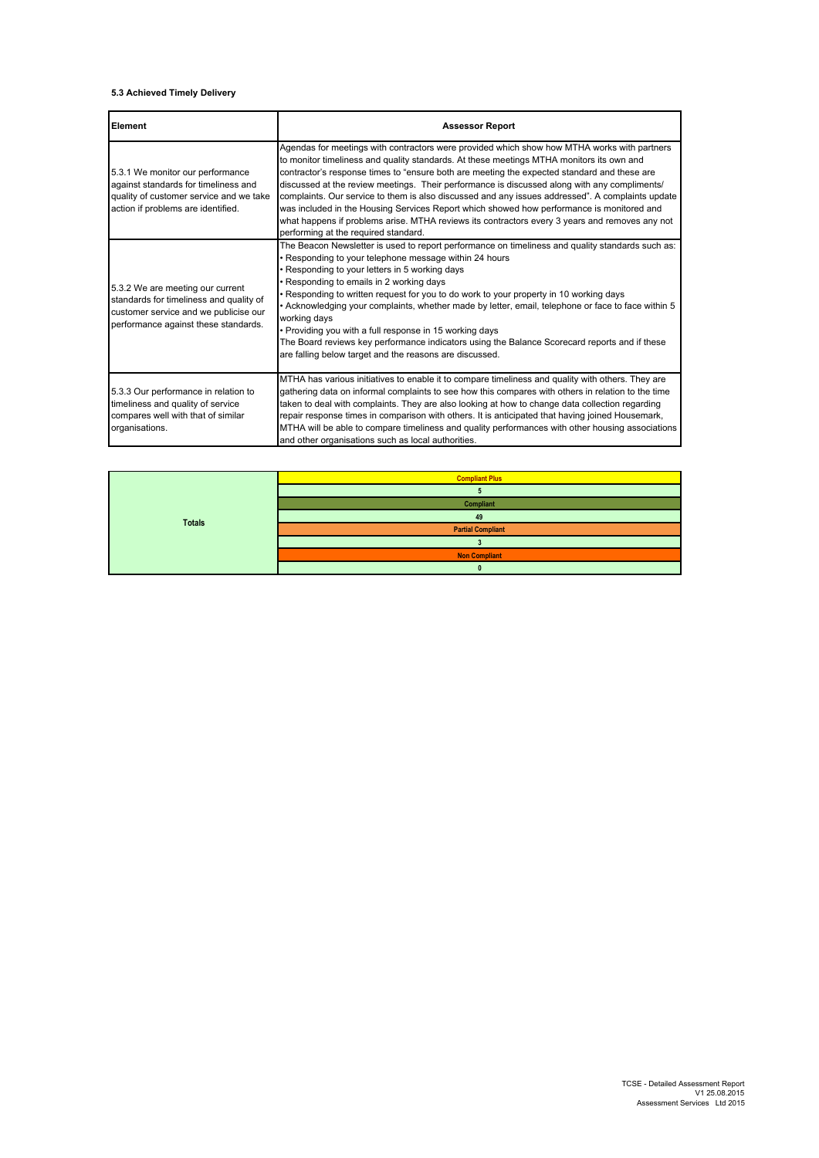### **5.3 Achieved Timely Delivery**

| Element                                                                                                                                                      | <b>Assessor Report</b>                                                                                                                                                                                                                                                                                                                                                                                                                                                                                                                                                                                                                                                                                                            |
|--------------------------------------------------------------------------------------------------------------------------------------------------------------|-----------------------------------------------------------------------------------------------------------------------------------------------------------------------------------------------------------------------------------------------------------------------------------------------------------------------------------------------------------------------------------------------------------------------------------------------------------------------------------------------------------------------------------------------------------------------------------------------------------------------------------------------------------------------------------------------------------------------------------|
| 5.3.1 We monitor our performance<br>against standards for timeliness and<br>quality of customer service and we take<br>action if problems are identified.    | Agendas for meetings with contractors were provided which show how MTHA works with partners<br>to monitor timeliness and quality standards. At these meetings MTHA monitors its own and<br>contractor's response times to "ensure both are meeting the expected standard and these are<br>discussed at the review meetings. Their performance is discussed along with any compliments/<br>complaints. Our service to them is also discussed and any issues addressed". A complaints update<br>was included in the Housing Services Report which showed how performance is monitored and<br>what happens if problems arise. MTHA reviews its contractors every 3 years and removes any not<br>performing at the required standard. |
| 5.3.2 We are meeting our current<br>standards for timeliness and quality of<br>customer service and we publicise our<br>performance against these standards. | The Beacon Newsletter is used to report performance on timeliness and quality standards such as:<br>. Responding to your telephone message within 24 hours<br>Responding to your letters in 5 working days<br>• Responding to emails in 2 working days<br>. Responding to written request for you to do work to your property in 10 working days<br>. Acknowledging your complaints, whether made by letter, email, telephone or face to face within 5<br>working days<br>• Providing you with a full response in 15 working days<br>The Board reviews key performance indicators using the Balance Scorecard reports and if these<br>are falling below target and the reasons are discussed.                                     |
| 5.3.3 Our performance in relation to<br>timeliness and quality of service<br>compares well with that of similar<br>organisations.                            | MTHA has various initiatives to enable it to compare timeliness and quality with others. They are<br>gathering data on informal complaints to see how this compares with others in relation to the time<br>taken to deal with complaints. They are also looking at how to change data collection regarding<br>repair response times in comparison with others. It is anticipated that having joined Housemark,<br>MTHA will be able to compare timeliness and quality performances with other housing associations<br>and other organisations such as local authorities.                                                                                                                                                          |

| <b>Totals</b> | <b>Compliant Plus</b>    |
|---------------|--------------------------|
|               |                          |
|               | Compliant                |
|               | 49                       |
|               | <b>Partial Compliant</b> |
|               |                          |
|               | <b>Non Compliant</b>     |
|               |                          |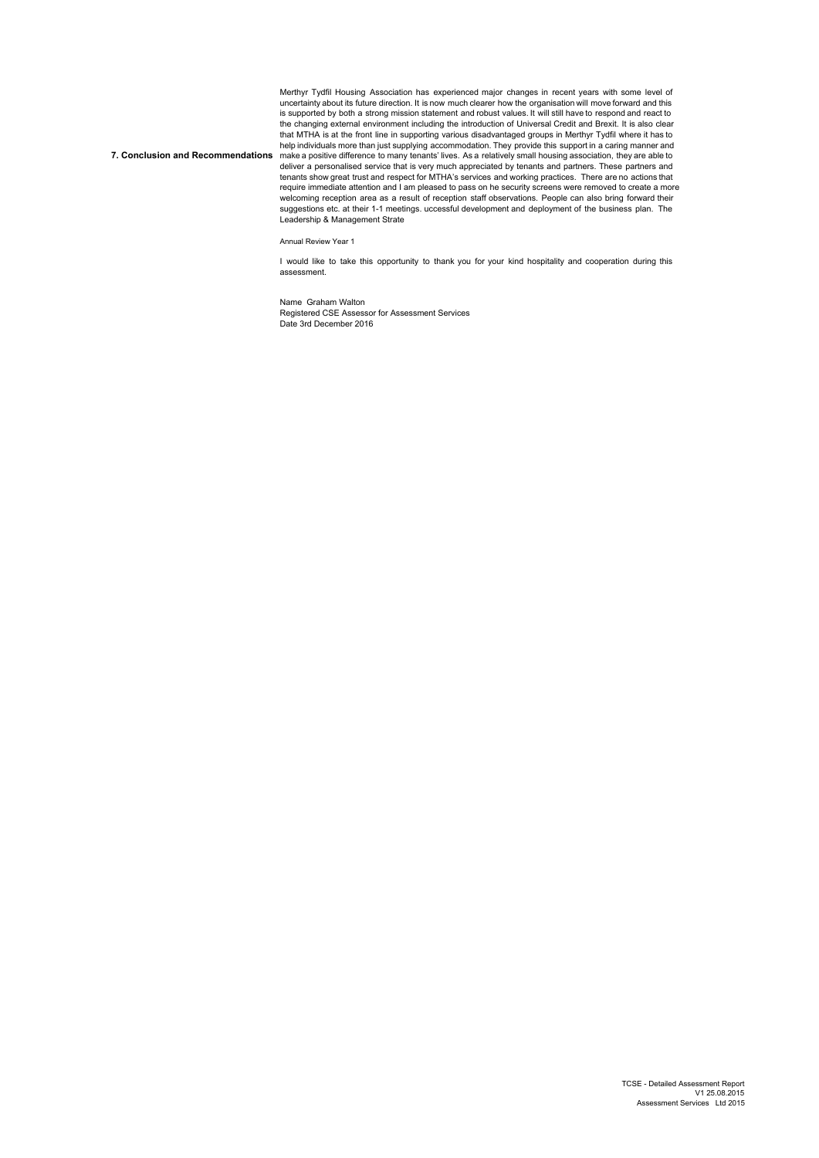**7. Conclusion and Recommendations** Merthyr Tydfil Housing Association has experienced major changes in recent years with some level of uncertainty about its future direction. It is now much clearer how the organisation will move forward and this<br>is supported by both a strong mission statement and robust values. It will still have to respond and react to<br>t that MTHA is at the front line in supporting various disadvantaged groups in Merthyr Tydfil where it has to help individuals more than just supplying accommodation. They provide this support in a caring manner and<br>make a positive difference to many tenants' lives. As a relatively small housing association, they are able to<br>deliv tenants show great trust and respect for MTHA's services and working practices. There are no actions that require immediate attention and I am pleased to pass on he security screens were removed to create a more welcoming reception area as a result of reception staff observations. People can also bring forward their suggestions etc. at their 1-1 meetings. uccessful development and deployment of the business plan. The Leadership & Management Strate

Annual Review Year 1

I would like to take this opportunity to thank you for your kind hospitality and cooperation during this assessment.

Name Graham Walton Registered CSE Assessor for Assessment Services Date 3rd December 2016